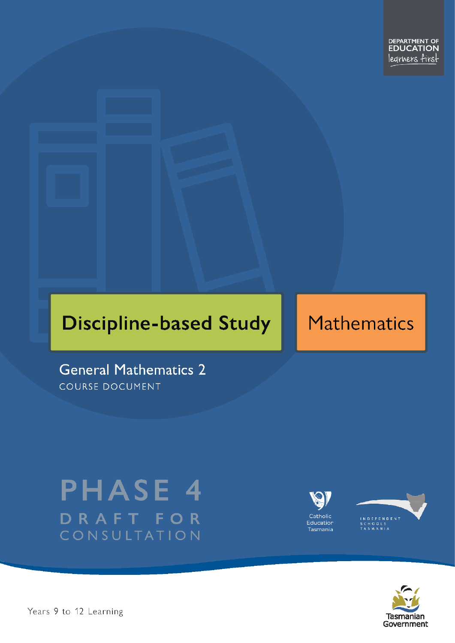# **Discipline-based Study**

## **Mathematics**

**General Mathematics 2** COURSE DOCUMENT

## **PHASE 4** DRAFT FOR CONSULTATION





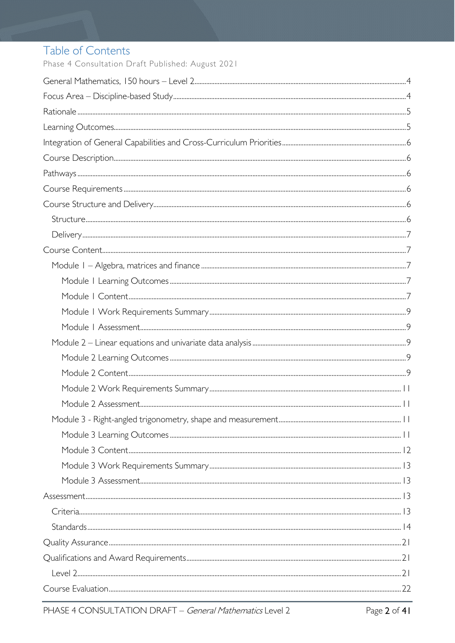### Table of Contents

Phase 4 Consultation Draft Published: August 2021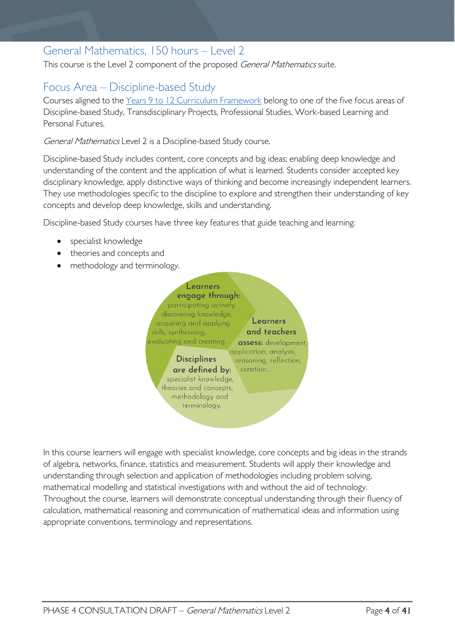### <span id="page-3-0"></span>General Mathematics, 150 hours – Level 2

This course is the Level 2 component of the proposed General Mathematics suite.

### <span id="page-3-1"></span>Focus Area – Discipline-based Study

Courses aligned to the [Years 9 to 12 Curriculum Framework](https://publicdocumentcentre.education.tas.gov.au/library/Shared%20Documents/Education%209-12%20Frameworks%20A3%20WEB%20POSTER.pdf) belong to one of the five focus areas of Discipline-based Study, Transdisciplinary Projects, Professional Studies, Work-based Learning and Personal Futures.

General Mathematics Level 2 is a Discipline-based Study course.

Discipline-based Study includes content, core concepts and big ideas; enabling deep knowledge and understanding of the content and the application of what is learned. Students consider accepted key disciplinary knowledge, apply distinctive ways of thinking and become increasingly independent learners. They use methodologies specific to the discipline to explore and strengthen their understanding of key concepts and develop deep knowledge, skills and understanding.

Discipline-based Study courses have three key features that guide teaching and learning:

- specialist knowledge
- theories and concepts and
- methodology and terminology.



In this course learners will engage with specialist knowledge, core concepts and big ideas in the strands of algebra, networks, finance, statistics and measurement. Students will apply their knowledge and understanding through selection and application of methodologies including problem solving, mathematical modelling and statistical investigations with and without the aid of technology. Throughout the course, learners will demonstrate conceptual understanding through their fluency of calculation, mathematical reasoning and communication of mathematical ideas and information using appropriate conventions, terminology and representations.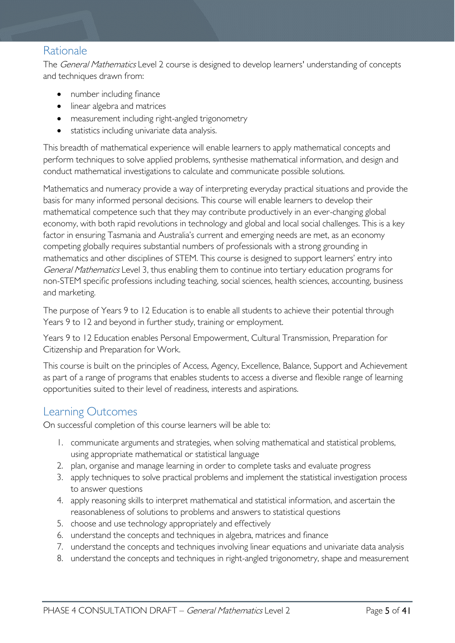### <span id="page-4-0"></span>Rationale

The *General Mathematics* Level 2 course is designed to develop learners' understanding of concepts and techniques drawn from:

- number including finance
- linear algebra and matrices
- measurement including right-angled trigonometry
- statistics including univariate data analysis.

This breadth of mathematical experience will enable learners to apply mathematical concepts and perform techniques to solve applied problems, synthesise mathematical information, and design and conduct mathematical investigations to calculate and communicate possible solutions.

Mathematics and numeracy provide a way of interpreting everyday practical situations and provide the basis for many informed personal decisions. This course will enable learners to develop their mathematical competence such that they may contribute productively in an ever-changing global economy, with both rapid revolutions in technology and global and local social challenges. This is a key factor in ensuring Tasmania and Australia's current and emerging needs are met, as an economy competing globally requires substantial numbers of professionals with a strong grounding in mathematics and other disciplines of STEM. This course is designed to support learners' entry into General Mathematics Level 3, thus enabling them to continue into tertiary education programs for non-STEM specific professions including teaching, social sciences, health sciences, accounting, business and marketing.

The purpose of Years 9 to 12 Education is to enable all students to achieve their potential through Years 9 to 12 and beyond in further study, training or employment.

Years 9 to 12 Education enables Personal Empowerment, Cultural Transmission, Preparation for Citizenship and Preparation for Work.

This course is built on the principles of Access, Agency, Excellence, Balance, Support and Achievement as part of a range of programs that enables students to access a diverse and flexible range of learning opportunities suited to their level of readiness, interests and aspirations.

### <span id="page-4-1"></span>Learning Outcomes

On successful completion of this course learners will be able to:

- 1. communicate arguments and strategies, when solving mathematical and statistical problems, using appropriate mathematical or statistical language
- 2. plan, organise and manage learning in order to complete tasks and evaluate progress
- 3. apply techniques to solve practical problems and implement the statistical investigation process to answer questions
- 4. apply reasoning skills to interpret mathematical and statistical information, and ascertain the reasonableness of solutions to problems and answers to statistical questions
- 5. choose and use technology appropriately and effectively
- 6. understand the concepts and techniques in algebra, matrices and finance
- 7. understand the concepts and techniques involving linear equations and univariate data analysis
- 8. understand the concepts and techniques in right-angled trigonometry, shape and measurement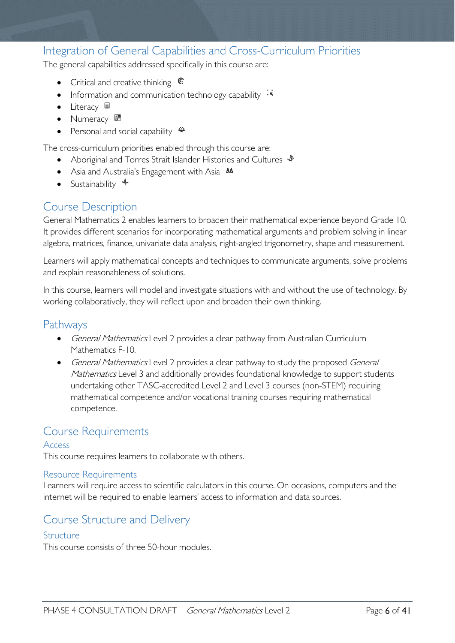### <span id="page-5-0"></span>Integration of General Capabilities and Cross-Curriculum Priorities

The general capabilities addressed specifically in this course are:

- Critical and creative thinking  $\epsilon$
- Information and communication technology capability  $\cdot \star$
- Literacy
- Numeracy
- Personal and social capability  $\ddot{\bullet}$

The cross-curriculum priorities enabled through this course are:

- Aboriginal and Torres Strait Islander Histories and Cultures  $\mathcal$
- Asia and Australia's Engagement with Asia **AA**
- Sustainability  $\triangleleft$

### <span id="page-5-1"></span>Course Description

General Mathematics 2 enables learners to broaden their mathematical experience beyond Grade 10. It provides different scenarios for incorporating mathematical arguments and problem solving in linear algebra, matrices, finance, univariate data analysis, right-angled trigonometry, shape and measurement.

Learners will apply mathematical concepts and techniques to communicate arguments, solve problems and explain reasonableness of solutions.

In this course, learners will model and investigate situations with and without the use of technology. By working collaboratively, they will reflect upon and broaden their own thinking.

### <span id="page-5-2"></span>**Pathways**

- General Mathematics Level 2 provides a clear pathway from Australian Curriculum Mathematics F-10.
- General Mathematics Level 2 provides a clear pathway to study the proposed General Mathematics Level 3 and additionally provides foundational knowledge to support students undertaking other TASC-accredited Level 2 and Level 3 courses (non-STEM) requiring mathematical competence and/or vocational training courses requiring mathematical competence.

### <span id="page-5-3"></span>Course Requirements

#### Access

This course requires learners to collaborate with others.

#### Resource Requirements

Learners will require access to scientific calculators in this course. On occasions, computers and the internet will be required to enable learners' access to information and data sources.

### <span id="page-5-4"></span>Course Structure and Delivery

#### <span id="page-5-5"></span>**Structure**

This course consists of three 50-hour modules.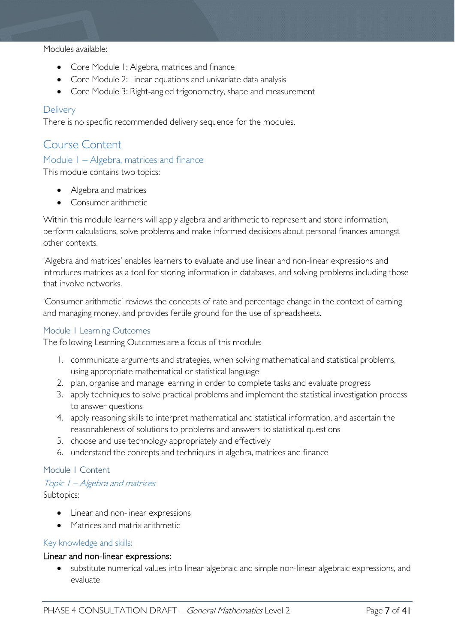Modules available:

- Core Module 1: Algebra, matrices and finance
- Core Module 2: Linear equations and univariate data analysis
- Core Module 3: Right-angled trigonometry, shape and measurement

#### <span id="page-6-0"></span>**Delivery**

There is no specific recommended delivery sequence for the modules.

### <span id="page-6-1"></span>Course Content

#### <span id="page-6-2"></span>Module 1 – Algebra, matrices and finance

This module contains two topics:

- Algebra and matrices
- Consumer arithmetic

Within this module learners will apply algebra and arithmetic to represent and store information, perform calculations, solve problems and make informed decisions about personal finances amongst other contexts.

'Algebra and matrices' enables learners to evaluate and use linear and non-linear expressions and introduces matrices as a tool for storing information in databases, and solving problems including those that involve networks.

'Consumer arithmetic' reviews the concepts of rate and percentage change in the context of earning and managing money, and provides fertile ground for the use of spreadsheets.

#### <span id="page-6-3"></span>Module 1 Learning Outcomes

The following Learning Outcomes are a focus of this module:

- 1. communicate arguments and strategies, when solving mathematical and statistical problems, using appropriate mathematical or statistical language
- 2. plan, organise and manage learning in order to complete tasks and evaluate progress
- 3. apply techniques to solve practical problems and implement the statistical investigation process to answer questions
- 4. apply reasoning skills to interpret mathematical and statistical information, and ascertain the reasonableness of solutions to problems and answers to statistical questions
- 5. choose and use technology appropriately and effectively
- 6. understand the concepts and techniques in algebra, matrices and finance

#### <span id="page-6-4"></span>Module 1 Content

#### Topic 1 – Algebra and matrices

Subtopics:

- Linear and non-linear expressions
- Matrices and matrix arithmetic

#### Key knowledge and skills:

#### Linear and non-linear expressions:

• substitute numerical values into linear algebraic and simple non-linear algebraic expressions, and evaluate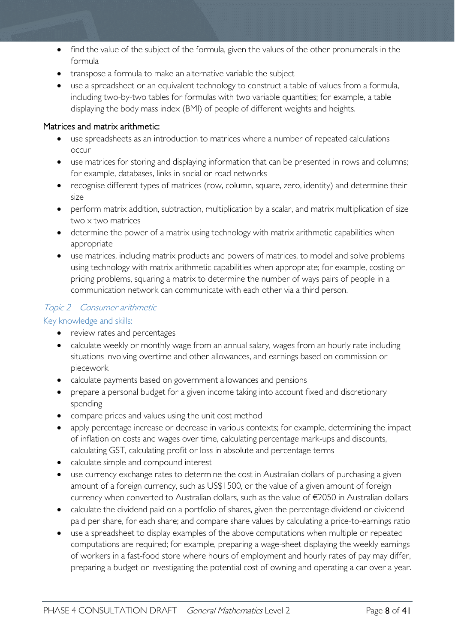- find the value of the subject of the formula, given the values of the other pronumerals in the formula
- transpose a formula to make an alternative variable the subject
- use a spreadsheet or an equivalent technology to construct a table of values from a formula, including two-by-two tables for formulas with two variable quantities; for example, a table displaying the body mass index (BMI) of people of different weights and heights.

#### Matrices and matrix arithmetic:

- use spreadsheets as an introduction to matrices where a number of repeated calculations occur
- use matrices for storing and displaying information that can be presented in rows and columns; for example, databases, links in social or road networks
- recognise different types of matrices (row, column, square, zero, identity) and determine their size
- perform matrix addition, subtraction, multiplication by a scalar, and matrix multiplication of size two x two matrices
- determine the power of a matrix using technology with matrix arithmetic capabilities when appropriate
- use matrices, including matrix products and powers of matrices, to model and solve problems using technology with matrix arithmetic capabilities when appropriate; for example, costing or pricing problems, squaring a matrix to determine the number of ways pairs of people in a communication network can communicate with each other via a third person.

#### Topic 2 – Consumer arithmetic

Key knowledge and skills:

- review rates and percentages
- calculate weekly or monthly wage from an annual salary, wages from an hourly rate including situations involving overtime and other allowances, and earnings based on commission or piecework
- calculate payments based on government allowances and pensions
- prepare a personal budget for a given income taking into account fixed and discretionary spending
- compare prices and values using the unit cost method
- apply percentage increase or decrease in various contexts; for example, determining the impact of inflation on costs and wages over time, calculating percentage mark-ups and discounts, calculating GST, calculating profit or loss in absolute and percentage terms
- calculate simple and compound interest
- use currency exchange rates to determine the cost in Australian dollars of purchasing a given amount of a foreign currency, such as US\$1500, or the value of a given amount of foreign currency when converted to Australian dollars, such as the value of €2050 in Australian dollars
- calculate the dividend paid on a portfolio of shares, given the percentage dividend or dividend paid per share, for each share; and compare share values by calculating a price-to-earnings ratio
- use a spreadsheet to display examples of the above computations when multiple or repeated computations are required; for example, preparing a wage-sheet displaying the weekly earnings of workers in a fast-food store where hours of employment and hourly rates of pay may differ, preparing a budget or investigating the potential cost of owning and operating a car over a year.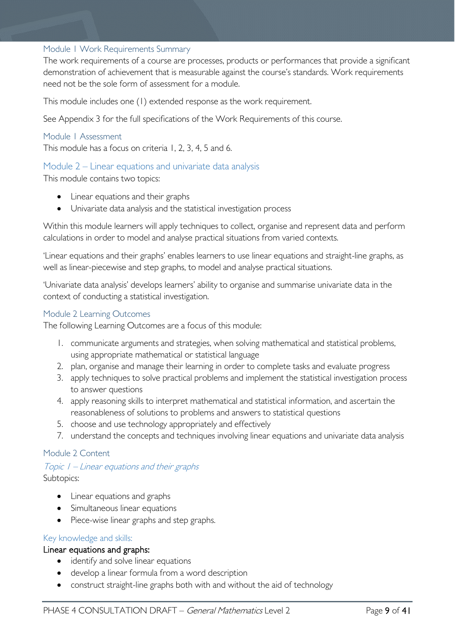#### <span id="page-8-0"></span>Module 1 Work Requirements Summary

The work requirements of a course are processes, products or performances that provide a significant demonstration of achievement that is measurable against the course's standards. Work requirements need not be the sole form of assessment for a module.

This module includes one (1) extended response as the work requirement.

See Appendix 3 for the full specifications of the Work Requirements of this course.

#### <span id="page-8-1"></span>Module 1 Assessment

This module has a focus on criteria 1, 2, 3, 4, 5 and 6.

#### <span id="page-8-2"></span>Module 2 – Linear equations and univariate data analysis

This module contains two topics:

- Linear equations and their graphs
- Univariate data analysis and the statistical investigation process

Within this module learners will apply techniques to collect, organise and represent data and perform calculations in order to model and analyse practical situations from varied contexts.

'Linear equations and their graphs' enables learners to use linear equations and straight-line graphs, as well as linear-piecewise and step graphs, to model and analyse practical situations.

'Univariate data analysis' develops learners' ability to organise and summarise univariate data in the context of conducting a statistical investigation.

#### <span id="page-8-3"></span>Module 2 Learning Outcomes

The following Learning Outcomes are a focus of this module:

- 1. communicate arguments and strategies, when solving mathematical and statistical problems, using appropriate mathematical or statistical language
- 2. plan, organise and manage their learning in order to complete tasks and evaluate progress
- 3. apply techniques to solve practical problems and implement the statistical investigation process to answer questions
- 4. apply reasoning skills to interpret mathematical and statistical information, and ascertain the reasonableness of solutions to problems and answers to statistical questions
- 5. choose and use technology appropriately and effectively
- 7. understand the concepts and techniques involving linear equations and univariate data analysis

#### <span id="page-8-4"></span>Module 2 Content

#### Topic 1 – Linear equations and their graphs Subtopics:

- Linear equations and graphs
- Simultaneous linear equations
- Piece-wise linear graphs and step graphs.

#### Key knowledge and skills:

#### Linear equations and graphs:

- identify and solve linear equations
- develop a linear formula from a word description
- construct straight-line graphs both with and without the aid of technology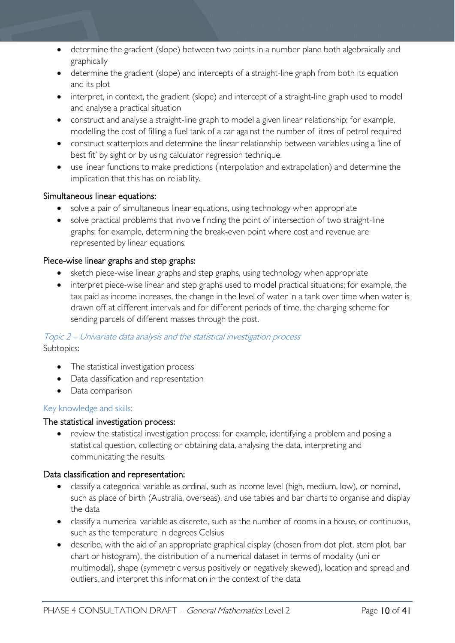- determine the gradient (slope) between two points in a number plane both algebraically and graphically
- determine the gradient (slope) and intercepts of a straight-line graph from both its equation and its plot
- interpret, in context, the gradient (slope) and intercept of a straight-line graph used to model and analyse a practical situation
- construct and analyse a straight-line graph to model a given linear relationship; for example, modelling the cost of filling a fuel tank of a car against the number of litres of petrol required
- construct scatterplots and determine the linear relationship between variables using a 'line of best fit' by sight or by using calculator regression technique.
- use linear functions to make predictions (interpolation and extrapolation) and determine the implication that this has on reliability.

#### Simultaneous linear equations:

- solve a pair of simultaneous linear equations, using technology when appropriate
- solve practical problems that involve finding the point of intersection of two straight-line graphs; for example, determining the break-even point where cost and revenue are represented by linear equations.

#### Piece-wise linear graphs and step graphs:

- sketch piece-wise linear graphs and step graphs, using technology when appropriate
- interpret piece-wise linear and step graphs used to model practical situations; for example, the tax paid as income increases, the change in the level of water in a tank over time when water is drawn off at different intervals and for different periods of time, the charging scheme for sending parcels of different masses through the post.

#### Topic 2 – Univariate data analysis and the statistical investigation process

Subtopics:

- The statistical investigation process
- Data classification and representation
- Data comparison

#### Key knowledge and skills:

#### The statistical investigation process:

• review the statistical investigation process; for example, identifying a problem and posing a statistical question, collecting or obtaining data, analysing the data, interpreting and communicating the results.

#### Data classification and representation:

- classify a categorical variable as ordinal, such as income level (high, medium, low), or nominal, such as place of birth (Australia, overseas), and use tables and bar charts to organise and display the data
- classify a numerical variable as discrete, such as the number of rooms in a house, or continuous, such as the temperature in degrees Celsius
- describe, with the aid of an appropriate graphical display (chosen from dot plot, stem plot, bar chart or histogram), the distribution of a numerical dataset in terms of modality (uni or multimodal), shape (symmetric versus positively or negatively skewed), location and spread and outliers, and interpret this information in the context of the data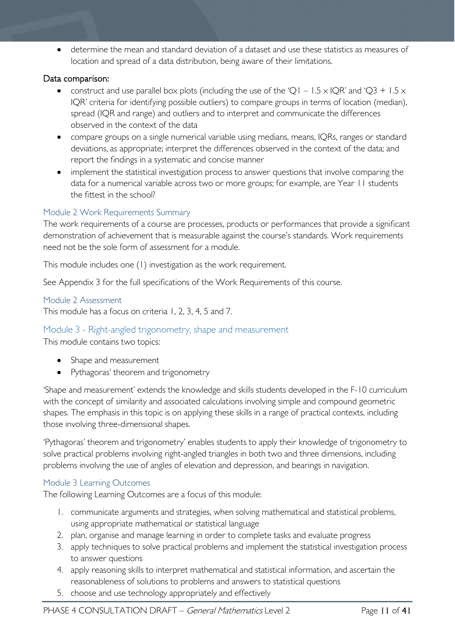• determine the mean and standard deviation of a dataset and use these statistics as measures of location and spread of a data distribution, being aware of their limitations.

#### Data comparison:

- construct and use parallel box plots (including the use of the 'Q1 1.5 x IQR' and 'Q3 + 1.5 x IQR' criteria for identifying possible outliers) to compare groups in terms of location (median), spread (IQR and range) and outliers and to interpret and communicate the differences observed in the context of the data
- compare groups on a single numerical variable using medians, means, IQRs, ranges or standard deviations, as appropriate; interpret the differences observed in the context of the data; and report the findings in a systematic and concise manner
- implement the statistical investigation process to answer questions that involve comparing the data for a numerical variable across two or more groups; for example, are Year 11 students the fittest in the school?

#### <span id="page-10-0"></span>Module 2 Work Requirements Summary

The work requirements of a course are processes, products or performances that provide a significant demonstration of achievement that is measurable against the course's standards. Work requirements need not be the sole form of assessment for a module.

This module includes one (1) investigation as the work requirement.

See Appendix 3 for the full specifications of the Work Requirements of this course.

#### <span id="page-10-1"></span>Module 2 Assessment

This module has a focus on criteria 1, 2, 3, 4, 5 and 7.

#### <span id="page-10-2"></span>Module 3 - Right-angled trigonometry, shape and measurement

This module contains two topics:

- Shape and measurement
- Pythagoras' theorem and trigonometry

'Shape and measurement' extends the knowledge and skills students developed in the F-10 curriculum with the concept of similarity and associated calculations involving simple and compound geometric shapes. The emphasis in this topic is on applying these skills in a range of practical contexts, including those involving three-dimensional shapes.

'Pythagoras' theorem and trigonometry' enables students to apply their knowledge of trigonometry to solve practical problems involving right-angled triangles in both two and three dimensions, including problems involving the use of angles of elevation and depression, and bearings in navigation.

#### <span id="page-10-3"></span>Module 3 Learning Outcomes

The following Learning Outcomes are a focus of this module:

- 1. communicate arguments and strategies, when solving mathematical and statistical problems, using appropriate mathematical or statistical language
- 2. plan, organise and manage learning in order to complete tasks and evaluate progress
- 3. apply techniques to solve practical problems and implement the statistical investigation process to answer questions
- 4. apply reasoning skills to interpret mathematical and statistical information, and ascertain the reasonableness of solutions to problems and answers to statistical questions
- 5. choose and use technology appropriately and effectively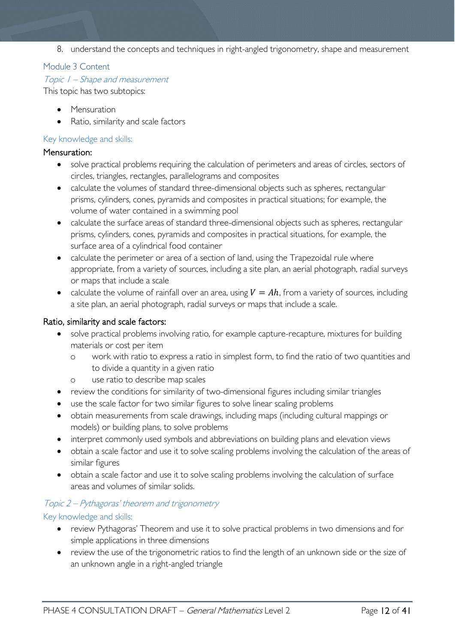8. understand the concepts and techniques in right-angled trigonometry, shape and measurement

#### <span id="page-11-0"></span>Module 3 Content

#### Topic 1 – Shape and measurement

This topic has two subtopics:

- Mensuration
- Ratio, similarity and scale factors

#### Key knowledge and skills:

#### Mensuration:

- solve practical problems requiring the calculation of perimeters and areas of circles, sectors of circles, triangles, rectangles, parallelograms and composites
- calculate the volumes of standard three-dimensional objects such as spheres, rectangular prisms, cylinders, cones, pyramids and composites in practical situations; for example, the volume of water contained in a swimming pool
- calculate the surface areas of standard three-dimensional objects such as spheres, rectangular prisms, cylinders, cones, pyramids and composites in practical situations, for example, the surface area of a cylindrical food container
- calculate the perimeter or area of a section of land, using the Trapezoidal rule where appropriate, from a variety of sources, including a site plan, an aerial photograph, radial surveys or maps that include a scale
- calculate the volume of rainfall over an area, using  $V = Ah$ , from a variety of sources, including a site plan, an aerial photograph, radial surveys or maps that include a scale.

#### Ratio, similarity and scale factors:

- solve practical problems involving ratio, for example capture-recapture, mixtures for building materials or cost per item
	- o work with ratio to express a ratio in simplest form, to find the ratio of two quantities and to divide a quantity in a given ratio
	- o use ratio to describe map scales
- review the conditions for similarity of two-dimensional figures including similar triangles
- use the scale factor for two similar figures to solve linear scaling problems
- obtain measurements from scale drawings, including maps (including cultural mappings or models) or building plans, to solve problems
- interpret commonly used symbols and abbreviations on building plans and elevation views
- obtain a scale factor and use it to solve scaling problems involving the calculation of the areas of similar figures
- obtain a scale factor and use it to solve scaling problems involving the calculation of surface areas and volumes of similar solids.

#### Topic 2 – Pythagoras' theorem and trigonometry

#### Key knowledge and skills:

- review Pythagoras' Theorem and use it to solve practical problems in two dimensions and for simple applications in three dimensions
- review the use of the trigonometric ratios to find the length of an unknown side or the size of an unknown angle in a right-angled triangle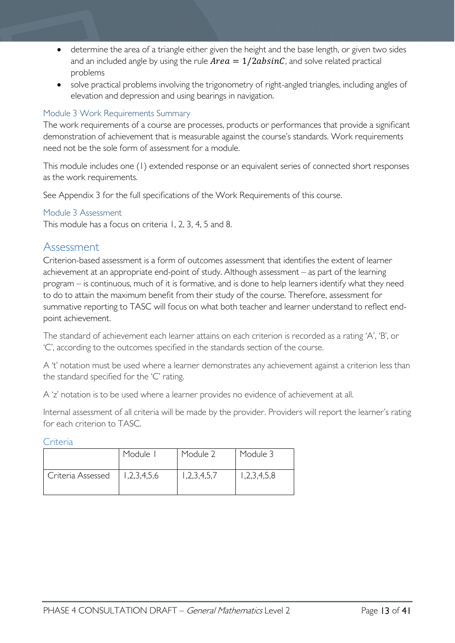- determine the area of a triangle either given the height and the base length, or given two sides and an included angle by using the rule  $Area = 1/2absinC$ , and solve related practical problems
- solve practical problems involving the trigonometry of right-angled triangles, including angles of elevation and depression and using bearings in navigation.

#### <span id="page-12-0"></span>Module 3 Work Requirements Summary

The work requirements of a course are processes, products or performances that provide a significant demonstration of achievement that is measurable against the course's standards. Work requirements need not be the sole form of assessment for a module.

This module includes one (1) extended response or an equivalent series of connected short responses as the work requirements.

See Appendix 3 for the full specifications of the Work Requirements of this course.

#### <span id="page-12-1"></span>Module 3 Assessment

This module has a focus on criteria 1, 2, 3, 4, 5 and 8.

### <span id="page-12-2"></span>Assessment

Criterion-based assessment is a form of outcomes assessment that identifies the extent of learner achievement at an appropriate end-point of study. Although assessment – as part of the learning program – is continuous, much of it is formative, and is done to help learners identify what they need to do to attain the maximum benefit from their study of the course. Therefore, assessment for summative reporting to TASC will focus on what both teacher and learner understand to reflect endpoint achievement.

The standard of achievement each learner attains on each criterion is recorded as a rating 'A', 'B', or 'C', according to the outcomes specified in the standards section of the course.

A 't' notation must be used where a learner demonstrates any achievement against a criterion less than the standard specified for the 'C' rating.

A 'z' notation is to be used where a learner provides no evidence of achievement at all.

Internal assessment of all criteria will be made by the provider. Providers will report the learner's rating for each criterion to TASC.

<span id="page-12-3"></span>Criteria

|                   | Module I    | Module 2    | Module 3    |
|-------------------|-------------|-------------|-------------|
| Criteria Assessed | 1,2,3,4,5,6 | 1,2,3,4,5,7 | 1,2,3,4,5,8 |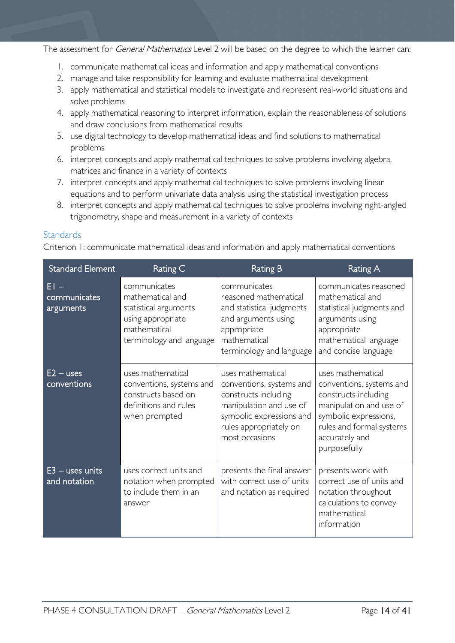The assessment for *General Mathematics* Level 2 will be based on the degree to which the learner can:

- 1. communicate mathematical ideas and information and apply mathematical conventions
- 2. manage and take responsibility for learning and evaluate mathematical development
- 3. apply mathematical and statistical models to investigate and represent real-world situations and solve problems
- 4. apply mathematical reasoning to interpret information, explain the reasonableness of solutions and draw conclusions from mathematical results
- 5. use digital technology to develop mathematical ideas and find solutions to mathematical problems
- 6. interpret concepts and apply mathematical techniques to solve problems involving algebra, matrices and finance in a variety of contexts
- 7. interpret concepts and apply mathematical techniques to solve problems involving linear equations and to perform univariate data analysis using the statistical investigation process
- 8. interpret concepts and apply mathematical techniques to solve problems involving right-angled trigonometry, shape and measurement in a variety of contexts

#### <span id="page-13-0"></span>**Standards**

Criterion 1: communicate mathematical ideas and information and apply mathematical conventions

| <b>Standard Element</b>             | Rating C                                                                                                                   | <b>Rating B</b>                                                                                                                                                          | Rating A                                                                                                                                                                                |
|-------------------------------------|----------------------------------------------------------------------------------------------------------------------------|--------------------------------------------------------------------------------------------------------------------------------------------------------------------------|-----------------------------------------------------------------------------------------------------------------------------------------------------------------------------------------|
| $EI -$<br>communicates<br>arguments | communicates<br>mathematical and<br>statistical arguments<br>using appropriate<br>mathematical<br>terminology and language | communicates<br>reasoned mathematical<br>and statistical judgments<br>and arguments using<br>appropriate<br>mathematical<br>terminology and language                     | communicates reasoned<br>mathematical and<br>statistical judgments and<br>arguments using<br>appropriate<br>mathematical language<br>and concise language                               |
| $E2 - uses$<br>conventions          | uses mathematical<br>conventions, systems and<br>constructs based on<br>definitions and rules<br>when prompted             | uses mathematical<br>conventions, systems and<br>constructs including<br>manipulation and use of<br>symbolic expressions and<br>rules appropriately on<br>most occasions | uses mathematical<br>conventions, systems and<br>constructs including<br>manipulation and use of<br>symbolic expressions,<br>rules and formal systems<br>accurately and<br>purposefully |
| $E3$ – uses units<br>and notation   | uses correct units and<br>notation when prompted<br>to include them in an<br>answer                                        | presents the final answer<br>with correct use of units<br>and notation as required                                                                                       | presents work with<br>correct use of units and<br>notation throughout<br>calculations to convey<br>mathematical<br>information                                                          |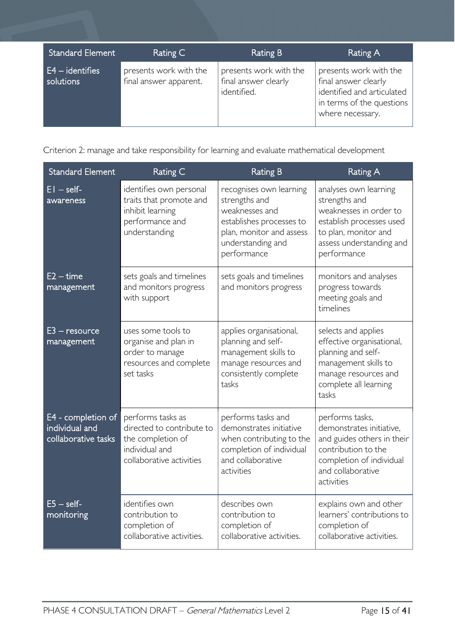| Standard Element               | Rating C                                         | Rating B                                                      | Rating A                                                                                                                      |
|--------------------------------|--------------------------------------------------|---------------------------------------------------------------|-------------------------------------------------------------------------------------------------------------------------------|
| $E4 - identifies$<br>solutions | presents work with the<br>final answer apparent. | presents work with the<br>final answer clearly<br>identified. | presents work with the<br>final answer clearly<br>identified and articulated<br>in terms of the questions<br>where necessary. |

Criterion 2: manage and take responsibility for learning and evaluate mathematical development

| <b>Standard Element</b>                                     | Rating C                                                                                                          | <b>Rating B</b>                                                                                                                                        | <b>Rating A</b>                                                                                                                                                 |
|-------------------------------------------------------------|-------------------------------------------------------------------------------------------------------------------|--------------------------------------------------------------------------------------------------------------------------------------------------------|-----------------------------------------------------------------------------------------------------------------------------------------------------------------|
| $EI - self$<br>awareness                                    | identifies own personal<br>traits that promote and<br>inhibit learning<br>performance and<br>understanding        | recognises own learning<br>strengths and<br>weaknesses and<br>establishes processes to<br>plan, monitor and assess<br>understanding and<br>performance | analyses own learning<br>strengths and<br>weaknesses in order to<br>establish processes used<br>to plan, monitor and<br>assess understanding and<br>performance |
| $E2 - time$<br>management                                   | sets goals and timelines<br>and monitors progress<br>with support                                                 | sets goals and timelines<br>and monitors progress                                                                                                      | monitors and analyses<br>progress towards<br>meeting goals and<br>timelines                                                                                     |
| $E3 -$ resource<br>management                               | uses some tools to<br>organise and plan in<br>order to manage<br>resources and complete<br>set tasks              | applies organisational,<br>planning and self-<br>management skills to<br>manage resources and<br>consistently complete<br>tasks                        | selects and applies<br>effective organisational,<br>planning and self-<br>management skills to<br>manage resources and<br>complete all learning<br>tasks        |
| E4 - completion of<br>individual and<br>collaborative tasks | performs tasks as<br>directed to contribute to<br>the completion of<br>individual and<br>collaborative activities | performs tasks and<br>demonstrates initiative<br>when contributing to the<br>completion of individual<br>and collaborative<br>activities               | performs tasks,<br>demonstrates initiative,<br>and guides others in their<br>contribution to the<br>completion of individual<br>and collaborative<br>activities |
| $E5 - self$<br>monitoring                                   | identifies own<br>contribution to<br>completion of<br>collaborative activities.                                   | describes own<br>contribution to<br>completion of<br>collaborative activities.                                                                         | explains own and other<br>learners' contributions to<br>completion of<br>collaborative activities.                                                              |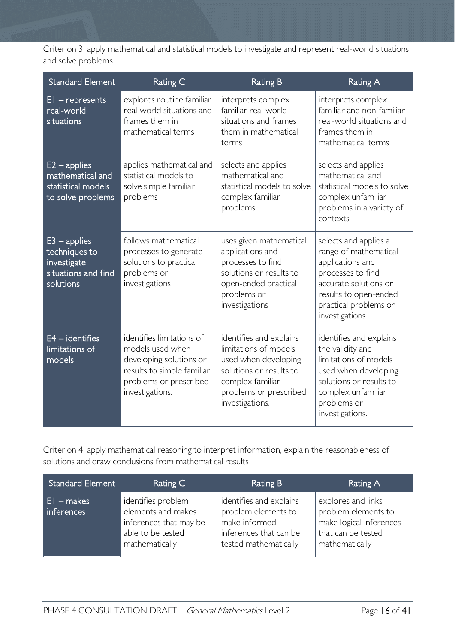Criterion 3: apply mathematical and statistical models to investigate and represent real-world situations and solve problems

| <b>Standard Element</b>                                                            | Rating C                                                                                                                                            | <b>Rating B</b>                                                                                                                                                      | <b>Rating A</b>                                                                                                                                                                      |
|------------------------------------------------------------------------------------|-----------------------------------------------------------------------------------------------------------------------------------------------------|----------------------------------------------------------------------------------------------------------------------------------------------------------------------|--------------------------------------------------------------------------------------------------------------------------------------------------------------------------------------|
| $EI$ – represents<br>real-world<br>situations                                      | explores routine familiar<br>real-world situations and<br>frames them in<br>mathematical terms                                                      | interprets complex<br>familiar real-world<br>situations and frames<br>them in mathematical<br>terms                                                                  | interprets complex<br>familiar and non-familiar<br>real-world situations and<br>frames them in<br>mathematical terms                                                                 |
| $E2$ – applies<br>mathematical and<br>statistical models<br>to solve problems      | applies mathematical and<br>statistical models to<br>solve simple familiar<br>problems                                                              | selects and applies<br>mathematical and<br>statistical models to solve<br>complex familiar<br>problems                                                               | selects and applies<br>mathematical and<br>statistical models to solve<br>complex unfamiliar<br>problems in a variety of<br>contexts                                                 |
| $E3$ – applies<br>techniques to<br>investigate<br>situations and find<br>solutions | follows mathematical<br>processes to generate<br>solutions to practical<br>problems or<br>investigations                                            | uses given mathematical<br>applications and<br>processes to find<br>solutions or results to<br>open-ended practical<br>problems or<br>investigations                 | selects and applies a<br>range of mathematical<br>applications and<br>processes to find<br>accurate solutions or<br>results to open-ended<br>practical problems or<br>investigations |
| $E4 -$ identifies<br>limitations of<br>models                                      | identifies limitations of<br>models used when<br>developing solutions or<br>results to simple familiar<br>problems or prescribed<br>investigations. | identifies and explains<br>limitations of models<br>used when developing<br>solutions or results to<br>complex familiar<br>problems or prescribed<br>investigations. | identifies and explains<br>the validity and<br>limitations of models<br>used when developing<br>solutions or results to<br>complex unfamiliar<br>problems or<br>investigations.      |

Criterion 4: apply mathematical reasoning to interpret information, explain the reasonableness of solutions and draw conclusions from mathematical results

| <b>Standard Element</b>    | Rating C                                                                                                  | Rating B                                                                                                           | Rating A                                                                                                     |
|----------------------------|-----------------------------------------------------------------------------------------------------------|--------------------------------------------------------------------------------------------------------------------|--------------------------------------------------------------------------------------------------------------|
| $E1 - makes$<br>inferences | identifies problem<br>elements and makes<br>inferences that may be<br>able to be tested<br>mathematically | identifies and explains<br>problem elements to<br>make informed<br>inferences that can be<br>tested mathematically | explores and links<br>problem elements to<br>make logical inferences<br>that can be tested<br>mathematically |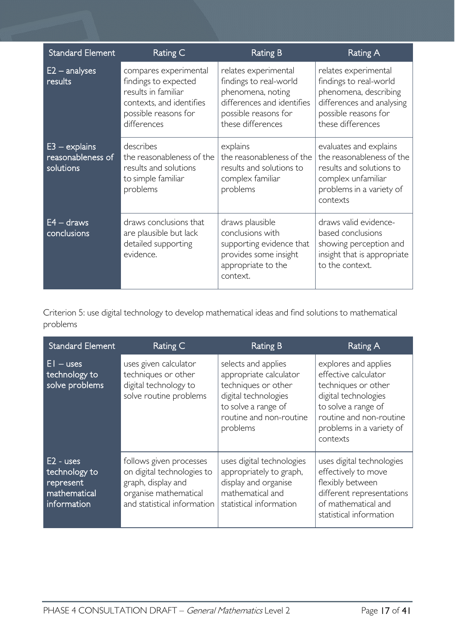| <b>Standard Element</b>                           | Rating C                                                                                                                                | <b>Rating B</b>                                                                                                                                | Rating A                                                                                                                                          |
|---------------------------------------------------|-----------------------------------------------------------------------------------------------------------------------------------------|------------------------------------------------------------------------------------------------------------------------------------------------|---------------------------------------------------------------------------------------------------------------------------------------------------|
| $E2 -$ analyses<br>results                        | compares experimental<br>findings to expected<br>results in familiar<br>contexts, and identifies<br>possible reasons for<br>differences | relates experimental<br>findings to real-world<br>phenomena, noting<br>differences and identifies<br>possible reasons for<br>these differences | relates experimental<br>findings to real-world<br>phenomena, describing<br>differences and analysing<br>possible reasons for<br>these differences |
| $E3 - explains$<br>reasonableness of<br>solutions | describes<br>the reasonableness of the<br>results and solutions<br>to simple familiar<br>problems                                       | explains<br>the reasonableness of the<br>results and solutions to<br>complex familiar<br>problems                                              | evaluates and explains<br>the reasonableness of the<br>results and solutions to<br>complex unfamiliar<br>problems in a variety of<br>contexts     |
| $E4 - draws$<br>conclusions                       | draws conclusions that<br>are plausible but lack<br>detailed supporting<br>evidence.                                                    | draws plausible<br>conclusions with<br>supporting evidence that<br>provides some insight<br>appropriate to the<br>context.                     | draws valid evidence-<br>based conclusions<br>showing perception and<br>insight that is appropriate<br>to the context.                            |

Criterion 5: use digital technology to develop mathematical ideas and find solutions to mathematical problems

| <b>Standard Element</b>                                                  | Rating C                                                                                                                            | Rating B                                                                                                                                                   | Rating A                                                                                                                                                                              |
|--------------------------------------------------------------------------|-------------------------------------------------------------------------------------------------------------------------------------|------------------------------------------------------------------------------------------------------------------------------------------------------------|---------------------------------------------------------------------------------------------------------------------------------------------------------------------------------------|
| $EI - uses$<br>technology to<br>solve problems                           | uses given calculator<br>techniques or other<br>digital technology to<br>solve routine problems                                     | selects and applies<br>appropriate calculator<br>techniques or other<br>digital technologies<br>to solve a range of<br>routine and non-routine<br>problems | explores and applies<br>effective calculator<br>techniques or other<br>digital technologies<br>to solve a range of<br>routine and non-routine<br>problems in a variety of<br>contexts |
| $E2 - uses$<br>technology to<br>represent<br>mathematical<br>information | follows given processes<br>on digital technologies to<br>graph, display and<br>organise mathematical<br>and statistical information | uses digital technologies<br>appropriately to graph,<br>display and organise<br>mathematical and<br>statistical information                                | uses digital technologies<br>effectively to move<br>flexibly between<br>different representations<br>of mathematical and<br>statistical information                                   |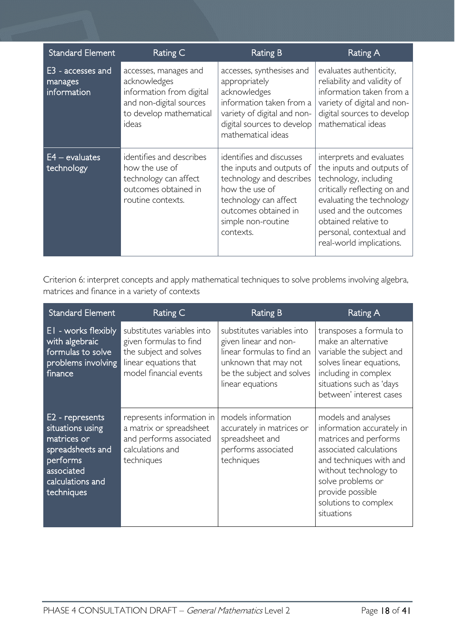| <b>Standard Element</b>                     | Rating C                                                                                                                         | Rating B                                                                                                                                                                                | Rating A                                                                                                                                                                                                                                             |
|---------------------------------------------|----------------------------------------------------------------------------------------------------------------------------------|-----------------------------------------------------------------------------------------------------------------------------------------------------------------------------------------|------------------------------------------------------------------------------------------------------------------------------------------------------------------------------------------------------------------------------------------------------|
| E3 - accesses and<br>manages<br>information | accesses, manages and<br>acknowledges<br>information from digital<br>and non-digital sources<br>to develop mathematical<br>ideas | accesses, synthesises and<br>appropriately<br>acknowledges<br>information taken from a<br>variety of digital and non-<br>digital sources to develop<br>mathematical ideas               | evaluates authenticity,<br>reliability and validity of<br>information taken from a<br>variety of digital and non-<br>digital sources to develop<br>mathematical ideas                                                                                |
| $E4 - evaluates$<br>technology              | identifies and describes<br>how the use of<br>technology can affect<br>outcomes obtained in<br>routine contexts.                 | identifies and discusses<br>the inputs and outputs of<br>technology and describes<br>how the use of<br>technology can affect<br>outcomes obtained in<br>simple non-routine<br>contexts. | interprets and evaluates<br>the inputs and outputs of<br>technology, including<br>critically reflecting on and<br>evaluating the technology<br>used and the outcomes<br>obtained relative to<br>personal, contextual and<br>real-world implications. |

Criterion 6: interpret concepts and apply mathematical techniques to solve problems involving algebra, matrices and finance in a variety of contexts

| <b>Standard Element</b>                                                                                                            | Rating C                                                                                                                          | <b>Rating B</b>                                                                                                                                            | Rating A                                                                                                                                                                                                                                |
|------------------------------------------------------------------------------------------------------------------------------------|-----------------------------------------------------------------------------------------------------------------------------------|------------------------------------------------------------------------------------------------------------------------------------------------------------|-----------------------------------------------------------------------------------------------------------------------------------------------------------------------------------------------------------------------------------------|
| EI - works flexibly<br>with algebraic<br>formulas to solve<br>problems involving<br>finance                                        | substitutes variables into<br>given formulas to find<br>the subject and solves<br>linear equations that<br>model financial events | substitutes variables into<br>given linear and non-<br>linear formulas to find an<br>unknown that may not<br>be the subject and solves<br>linear equations | transposes a formula to<br>make an alternative<br>variable the subject and<br>solves linear equations,<br>including in complex<br>situations such as 'days<br>between' interest cases                                                   |
| E2 - represents<br>situations using<br>matrices or<br>spreadsheets and<br>performs<br>associated<br>calculations and<br>techniques | represents information in<br>a matrix or spreadsheet<br>and performs associated<br>calculations and<br>techniques                 | models information<br>accurately in matrices or<br>spreadsheet and<br>performs associated<br>techniques                                                    | models and analyses<br>information accurately in<br>matrices and performs<br>associated calculations<br>and techniques with and<br>without technology to<br>solve problems or<br>provide possible<br>solutions to complex<br>situations |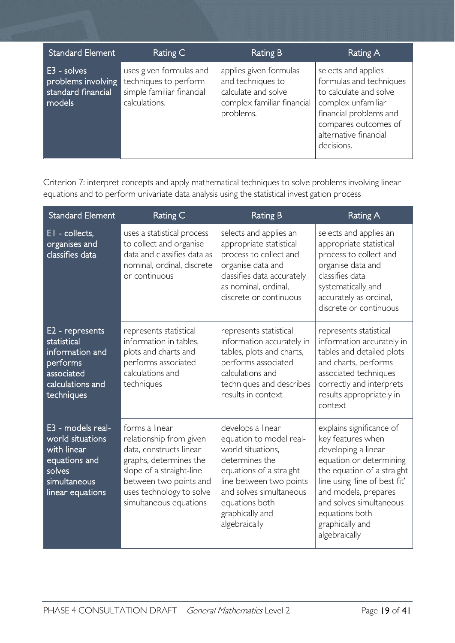| <b>Standard Element</b>                                           | Rating C                                                                                       | <b>Rating B</b>                                                                                               | Rating A                                                                                                                                                                                |
|-------------------------------------------------------------------|------------------------------------------------------------------------------------------------|---------------------------------------------------------------------------------------------------------------|-----------------------------------------------------------------------------------------------------------------------------------------------------------------------------------------|
| E3 - solves<br>problems involving<br>standard financial<br>models | uses given formulas and<br>techniques to perform<br>simple familiar financial<br>calculations. | applies given formulas<br>and techniques to<br>calculate and solve<br>complex familiar financial<br>problems. | selects and applies<br>formulas and techniques<br>to calculate and solve<br>complex unfamiliar<br>financial problems and<br>compares outcomes of<br>alternative financial<br>decisions. |

Criterion 7: interpret concepts and apply mathematical techniques to solve problems involving linear equations and to perform univariate data analysis using the statistical investigation process

| <b>Standard Element</b>                                                                                             | Rating C                                                                                                                                                                                                   | <b>Rating B</b>                                                                                                                                                                                                            | <b>Rating A</b>                                                                                                                                                                                                                                                         |
|---------------------------------------------------------------------------------------------------------------------|------------------------------------------------------------------------------------------------------------------------------------------------------------------------------------------------------------|----------------------------------------------------------------------------------------------------------------------------------------------------------------------------------------------------------------------------|-------------------------------------------------------------------------------------------------------------------------------------------------------------------------------------------------------------------------------------------------------------------------|
| EI - collects,<br>organises and<br>classifies data                                                                  | uses a statistical process<br>to collect and organise<br>data and classifies data as<br>nominal, ordinal, discrete<br>or continuous                                                                        | selects and applies an<br>appropriate statistical<br>process to collect and<br>organise data and<br>classifies data accurately<br>as nominal, ordinal,<br>discrete or continuous                                           | selects and applies an<br>appropriate statistical<br>process to collect and<br>organise data and<br>classifies data<br>systematically and<br>accurately as ordinal,<br>discrete or continuous                                                                           |
| E2 - represents<br>statistical<br>information and<br>performs<br>associated<br>calculations and<br>techniques       | represents statistical<br>information in tables,<br>plots and charts and<br>performs associated<br>calculations and<br>techniques                                                                          | represents statistical<br>information accurately in<br>tables, plots and charts,<br>performs associated<br>calculations and<br>techniques and describes<br>results in context                                              | represents statistical<br>information accurately in<br>tables and detailed plots<br>and charts, performs<br>associated techniques<br>correctly and interprets<br>results appropriately in<br>context                                                                    |
| E3 - models real-<br>world situations<br>with linear<br>equations and<br>solves<br>simultaneous<br>linear equations | forms a linear<br>relationship from given<br>data, constructs linear<br>graphs, determines the<br>slope of a straight-line<br>between two points and<br>uses technology to solve<br>simultaneous equations | develops a linear<br>equation to model real-<br>world situations.<br>determines the<br>equations of a straight<br>line between two points<br>and solves simultaneous<br>equations both<br>graphically and<br>algebraically | explains significance of<br>key features when<br>developing a linear<br>equation or determining<br>the equation of a straight<br>line using 'line of best fit'<br>and models, prepares<br>and solves simultaneous<br>equations both<br>graphically and<br>algebraically |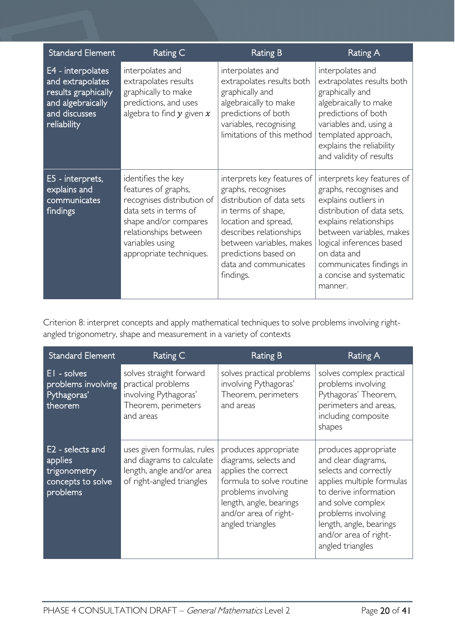| <b>Standard Element</b>                                                                                           | Rating C                                                                                                                                                                                         | <b>Rating B</b>                                                                                                                                                                                                                                  | <b>Rating A</b>                                                                                                                                                                                                                                                                |
|-------------------------------------------------------------------------------------------------------------------|--------------------------------------------------------------------------------------------------------------------------------------------------------------------------------------------------|--------------------------------------------------------------------------------------------------------------------------------------------------------------------------------------------------------------------------------------------------|--------------------------------------------------------------------------------------------------------------------------------------------------------------------------------------------------------------------------------------------------------------------------------|
| E4 - interpolates<br>and extrapolates<br>results graphically<br>and algebraically<br>and discusses<br>reliability | interpolates and<br>extrapolates results<br>graphically to make<br>predictions, and uses<br>algebra to find $y$ given $x$                                                                        | interpolates and<br>extrapolates results both<br>graphically and<br>algebraically to make<br>predictions of both<br>variables, recognising<br>limitations of this method                                                                         | interpolates and<br>extrapolates results both<br>graphically and<br>algebraically to make<br>predictions of both<br>variables and, using a<br>templated approach,<br>explains the reliability<br>and validity of results                                                       |
| E5 - interprets,<br>explains and<br>communicates<br>findings                                                      | identifies the key<br>features of graphs,<br>recognises distribution of<br>data sets in terms of<br>shape and/or compares<br>relationships between<br>variables using<br>appropriate techniques. | interprets key features of<br>graphs, recognises<br>distribution of data sets<br>in terms of shape,<br>location and spread,<br>describes relationships<br>between variables, makes<br>predictions based on<br>data and communicates<br>findings. | interprets key features of<br>graphs, recognises and<br>explains outliers in<br>distribution of data sets,<br>explains relationships<br>between variables, makes<br>logical inferences based<br>on data and<br>communicates findings in<br>a concise and systematic<br>manner. |

Criterion 8: interpret concepts and apply mathematical techniques to solve problems involving rightangled trigonometry, shape and measurement in a variety of contexts

| <b>Standard Element</b>                                                      | Rating C                                                                                                          | <b>Rating B</b>                                                                                                                                                                                | Rating A                                                                                                                                                                                                                                      |
|------------------------------------------------------------------------------|-------------------------------------------------------------------------------------------------------------------|------------------------------------------------------------------------------------------------------------------------------------------------------------------------------------------------|-----------------------------------------------------------------------------------------------------------------------------------------------------------------------------------------------------------------------------------------------|
| EI - solves<br>problems involving<br>Pythagoras'<br>theorem                  | solves straight forward<br>practical problems<br>involving Pythagoras'<br>Theorem, perimeters<br>and areas        | solves practical problems<br>involving Pythagoras'<br>Theorem, perimeters<br>and areas                                                                                                         | solves complex practical<br>problems involving<br>Pythagoras' Theorem,<br>perimeters and areas,<br>including composite<br>shapes                                                                                                              |
| E2 - selects and<br>applies<br>trigonometry<br>concepts to solve<br>problems | uses given formulas, rules<br>and diagrams to calculate<br>length, angle and/or area<br>of right-angled triangles | produces appropriate<br>diagrams, selects and<br>applies the correct<br>formula to solve routine<br>problems involving<br>length, angle, bearings<br>and/or area of right-<br>angled triangles | produces appropriate<br>and clear diagrams,<br>selects and correctly<br>applies multiple formulas<br>to derive information<br>and solve complex<br>problems involving<br>length, angle, bearings<br>and/or area of right-<br>angled triangles |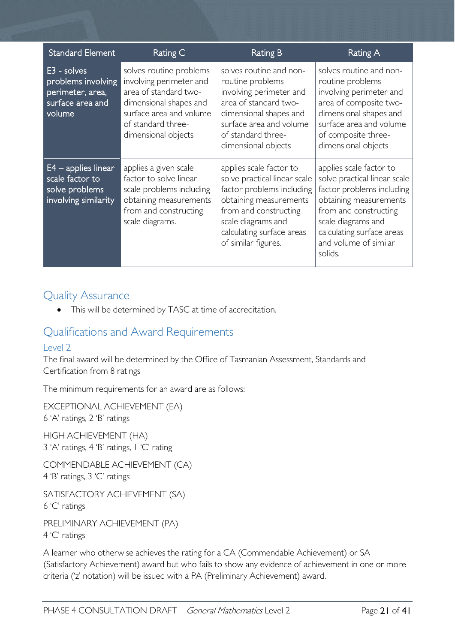| <b>Standard Element</b>                                                             | Rating C                                                                                                                                                                      | <b>Rating B</b>                                                                                                                                                                                                   | Rating A                                                                                                                                                                                                                       |
|-------------------------------------------------------------------------------------|-------------------------------------------------------------------------------------------------------------------------------------------------------------------------------|-------------------------------------------------------------------------------------------------------------------------------------------------------------------------------------------------------------------|--------------------------------------------------------------------------------------------------------------------------------------------------------------------------------------------------------------------------------|
| E3 - solves<br>problems involving<br>perimeter, area,<br>surface area and<br>volume | solves routine problems<br>involving perimeter and<br>area of standard two-<br>dimensional shapes and<br>surface area and volume<br>of standard three-<br>dimensional objects | solves routine and non-<br>routine problems<br>involving perimeter and<br>area of standard two-<br>dimensional shapes and<br>surface area and volume<br>of standard three-<br>dimensional objects                 | solves routine and non-<br>routine problems<br>involving perimeter and<br>area of composite two-<br>dimensional shapes and<br>surface area and volume<br>of composite three-<br>dimensional objects                            |
| $E4$ – applies linear<br>scale factor to<br>solve problems<br>involving similarity  | applies a given scale<br>factor to solve linear<br>scale problems including<br>obtaining measurements<br>from and constructing<br>scale diagrams.                             | applies scale factor to<br>solve practical linear scale<br>factor problems including<br>obtaining measurements<br>from and constructing<br>scale diagrams and<br>calculating surface areas<br>of similar figures. | applies scale factor to<br>solve practical linear scale<br>factor problems including<br>obtaining measurements<br>from and constructing<br>scale diagrams and<br>calculating surface areas<br>and volume of similar<br>solids. |

### <span id="page-20-0"></span>Quality Assurance

• This will be determined by TASC at time of accreditation.

### <span id="page-20-1"></span>Qualifications and Award Requirements

### <span id="page-20-2"></span>Level 2

The final award will be determined by the Office of Tasmanian Assessment, Standards and Certification from 8 ratings

The minimum requirements for an award are as follows:

EXCEPTIONAL ACHIEVEMENT (EA) 6 'A' ratings, 2 'B' ratings

HIGH ACHIEVEMENT (HA) 3 'A' ratings, 4 'B' ratings, 1 'C' rating

COMMENDABLE ACHIEVEMENT (CA) 4 'B' ratings, 3 'C' ratings

SATISFACTORY ACHIEVEMENT (SA) 6 'C' ratings

PRELIMINARY ACHIEVEMENT (PA) 4 'C' ratings

A learner who otherwise achieves the rating for a CA (Commendable Achievement) or SA (Satisfactory Achievement) award but who fails to show any evidence of achievement in one or more criteria ('z' notation) will be issued with a PA (Preliminary Achievement) award.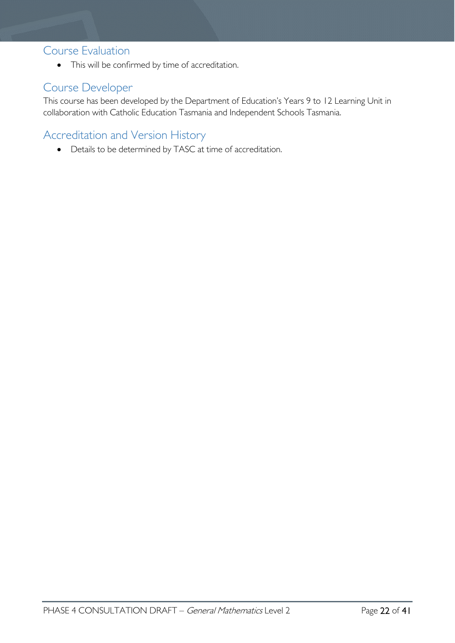### <span id="page-21-0"></span>Course Evaluation

• This will be confirmed by time of accreditation.

### <span id="page-21-1"></span>Course Developer

This course has been developed by the Department of Education's Years 9 to 12 Learning Unit in collaboration with Catholic Education Tasmania and Independent Schools Tasmania.

### <span id="page-21-2"></span>Accreditation and Version History

• Details to be determined by TASC at time of accreditation.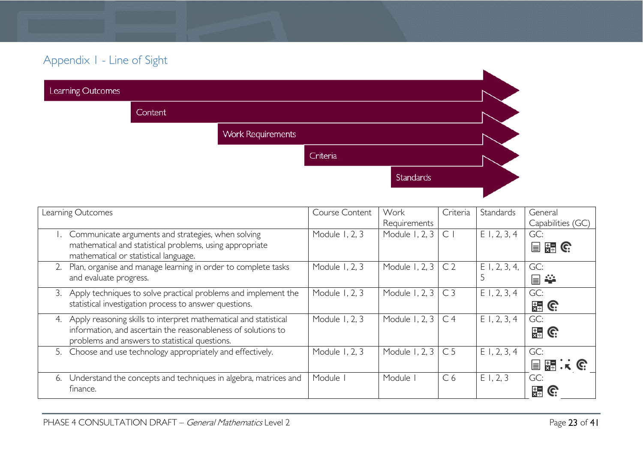### Appendix 1 - Line of Sight

| Learning Outcomes |                |                          |          |           |  |
|-------------------|----------------|--------------------------|----------|-----------|--|
|                   | <b>Content</b> |                          |          |           |  |
|                   |                | <b>Work Requirements</b> |          |           |  |
|                   |                |                          | Criteria |           |  |
|                   |                |                          |          | Standards |  |
|                   |                |                          |          |           |  |

<span id="page-22-0"></span>

| Learning Outcomes                                                      | Course Content | Work                     | Criteria       | Standards       | General           |
|------------------------------------------------------------------------|----------------|--------------------------|----------------|-----------------|-------------------|
|                                                                        |                | Requirements             |                |                 | Capabilities (GC) |
| Communicate arguments and strategies, when solving                     | Module 1, 2, 3 | Module 1, 2, 3           | $\mathsf{C}$   | $E$ 1, 2, 3, 4  | GC:               |
| mathematical and statistical problems, using appropriate               |                |                          |                |                 | 冒空に               |
| mathematical or statistical language.                                  |                |                          |                |                 |                   |
| Plan, organise and manage learning in order to complete tasks<br>2.    | Module 1, 2, 3 | Module 1, 2, 3           | C <sub>2</sub> | $E$ 1, 2, 3, 4, | GC:               |
| and evaluate progress.                                                 |                |                          |                |                 | 冒<br>÷¥           |
| Apply techniques to solve practical problems and implement the<br>3.   | Module 1, 2, 3 | Module 1, 2, $3 \mid C3$ |                | $E$ 1, 2, 3, 4  | GC:               |
| statistical investigation process to answer questions.                 |                |                          |                |                 | 出 G               |
| Apply reasoning skills to interpret mathematical and statistical<br>4. | Module 1, 2, 3 | Module 1, 2, 3           | C <sub>4</sub> | $E$ 1, 2, 3, 4  | GC:               |
| information, and ascertain the reasonableness of solutions to          |                |                          |                |                 | $\frac{1}{25}$ G. |
| problems and answers to statistical questions.                         |                |                          |                |                 |                   |
| 5. Choose and use technology appropriately and effectively.            | Module 1, 2, 3 | Module 1, 2, 3           | C <sub>5</sub> | $E$ 1, 2, 3, 4  | GC:               |
|                                                                        |                |                          |                |                 | 目闘いで              |
| Understand the concepts and techniques in algebra, matrices and<br>6.  | Module         | Module I                 | C <sub>6</sub> | E1, 2, 3        | GC:               |
| finance.                                                               |                |                          |                |                 | 霜                 |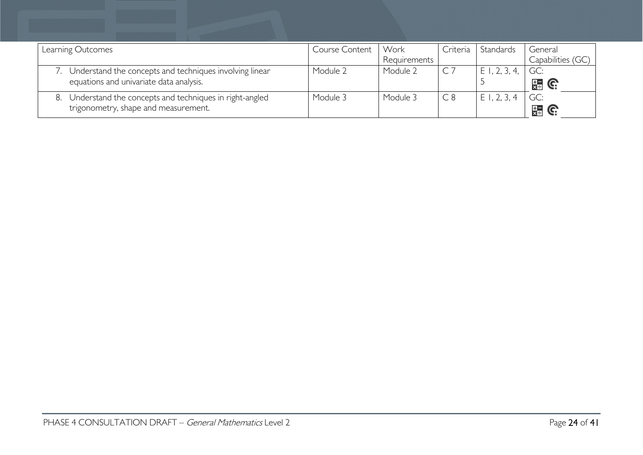| Learning Outcomes                                                                                     | Course Content | Work<br>Requirements | Criteria | Standards       | General<br>Capabilities (GC |
|-------------------------------------------------------------------------------------------------------|----------------|----------------------|----------|-----------------|-----------------------------|
| 7. Understand the concepts and techniques involving linear<br>equations and univariate data analysis. | Module 2       | Module 2             | $CC$ 7   | $E$ 1, 2, 3, 4, | GC:<br>$\frac{1}{2}$ G.     |
| 8. Understand the concepts and techniques in right-angled<br>trigonometry, shape and measurement.     | Module 3       | Module 3             | C8       | $E$ 1, 2, 3,    | GC:<br>$\frac{1}{25}$ G.    |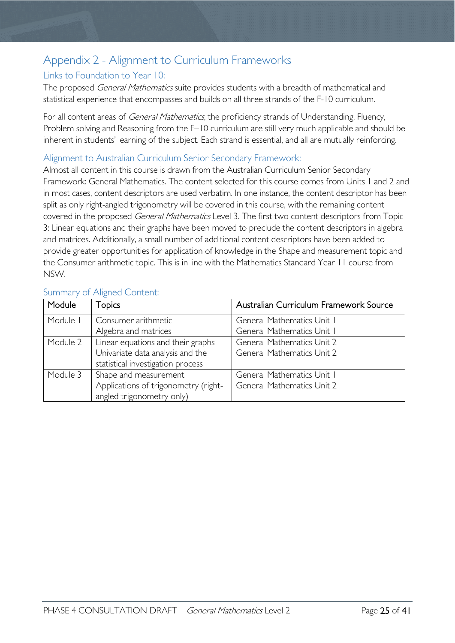### <span id="page-24-0"></span>Appendix 2 - Alignment to Curriculum Frameworks

#### <span id="page-24-1"></span>Links to Foundation to Year 10:

The proposed *General Mathematics* suite provides students with a breadth of mathematical and statistical experience that encompasses and builds on all three strands of the F-10 curriculum.

For all content areas of *General Mathematics*, the proficiency strands of Understanding, Fluency, Problem solving and Reasoning from the F–10 curriculum are still very much applicable and should be inherent in students' learning of the subject. Each strand is essential, and all are mutually reinforcing.

#### <span id="page-24-2"></span>Alignment to Australian Curriculum Senior Secondary Framework:

Almost all content in this course is drawn from the Australian Curriculum Senior Secondary Framework: General Mathematics. The content selected for this course comes from Units 1 and 2 and in most cases, content descriptors are used verbatim. In one instance, the content descriptor has been split as only right-angled trigonometry will be covered in this course, with the remaining content covered in the proposed General Mathematics Level 3. The first two content descriptors from Topic 3: Linear equations and their graphs have been moved to preclude the content descriptors in algebra and matrices. Additionally, a small number of additional content descriptors have been added to provide greater opportunities for application of knowledge in the Shape and measurement topic and the Consumer arithmetic topic. This is in line with the Mathematics Standard Year 11 course from NSW.

| Module   | <b>Topics</b>                        | Australian Curriculum Framework Source |
|----------|--------------------------------------|----------------------------------------|
| Module   | Consumer arithmetic                  | General Mathematics Unit I             |
|          | Algebra and matrices                 | General Mathematics Unit I             |
| Module 2 | Linear equations and their graphs    | <b>General Mathematics Unit 2</b>      |
|          | Univariate data analysis and the     | <b>General Mathematics Unit 2</b>      |
|          | statistical investigation process    |                                        |
| Module 3 | Shape and measurement                | General Mathematics Unit I             |
|          | Applications of trigonometry (right- | <b>General Mathematics Unit 2</b>      |
|          | angled trigonometry only)            |                                        |

#### <span id="page-24-3"></span>Summary of Aligned Content: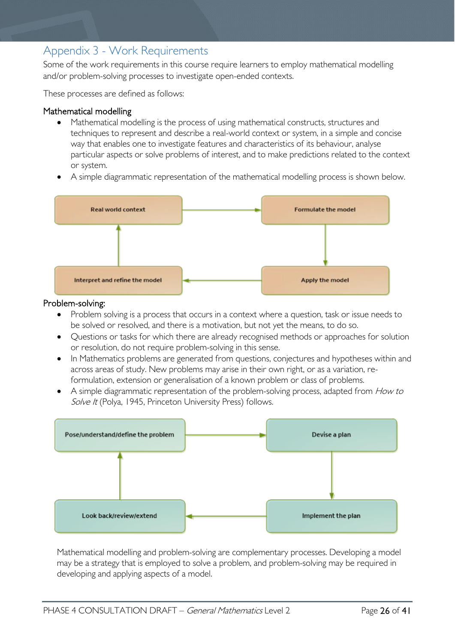### <span id="page-25-0"></span>Appendix 3 - Work Requirements

Some of the work requirements in this course require learners to employ mathematical modelling and/or problem-solving processes to investigate open-ended contexts.

These processes are defined as follows:

#### Mathematical modelling

- Mathematical modelling is the process of using mathematical constructs, structures and techniques to represent and describe a real-world context or system, in a simple and concise way that enables one to investigate features and characteristics of its behaviour, analyse particular aspects or solve problems of interest, and to make predictions related to the context or system.
- A simple diagrammatic representation of the mathematical modelling process is shown below.



- Problem solving is a process that occurs in a context where a question, task or issue needs to be solved or resolved, and there is a motivation, but not yet the means, to do so.
- Questions or tasks for which there are already recognised methods or approaches for solution or resolution, do not require problem-solving in this sense.
- In Mathematics problems are generated from questions, conjectures and hypotheses within and across areas of study. New problems may arise in their own right, or as a variation, reformulation, extension or generalisation of a known problem or class of problems.
- A simple diagrammatic representation of the problem-solving process, adapted from How to Solve It (Polya, 1945, Princeton University Press) follows.



Mathematical modelling and problem-solving are complementary processes. Developing a model may be a strategy that is employed to solve a problem, and problem-solving may be required in developing and applying aspects of a model.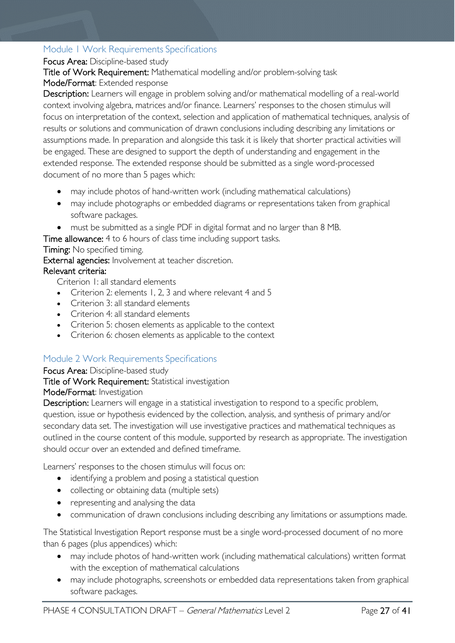### <span id="page-26-0"></span>Module 1 Work Requirements Specifications

#### Focus Area: Discipline-based study

Title of Work Requirement: Mathematical modelling and/or problem-solving task

#### Mode/Format: Extended response

Description: Learners will engage in problem solving and/or mathematical modelling of a real-world context involving algebra, matrices and/or finance. Learners' responses to the chosen stimulus will focus on interpretation of the context, selection and application of mathematical techniques, analysis of results or solutions and communication of drawn conclusions including describing any limitations or assumptions made. In preparation and alongside this task it is likely that shorter practical activities will be engaged. These are designed to support the depth of understanding and engagement in the extended response. The extended response should be submitted as a single word-processed document of no more than 5 pages which:

- may include photos of hand-written work (including mathematical calculations)
- may include photographs or embedded diagrams or representations taken from graphical software packages.
- must be submitted as a single PDF in digital format and no larger than 8 MB.

Time allowance: 4 to 6 hours of class time including support tasks.

Timing: No specified timing.

External agencies: Involvement at teacher discretion.

#### Relevant criteria:

Criterion 1: all standard elements

- Criterion 2: elements 1, 2, 3 and where relevant 4 and 5
- Criterion 3: all standard elements
- Criterion 4: all standard elements
- Criterion 5: chosen elements as applicable to the context
- Criterion 6: chosen elements as applicable to the context

### <span id="page-26-1"></span>Module 2 Work Requirements Specifications

#### Focus Area: Discipline-based study

#### Title of Work Requirement: Statistical investigation

#### Mode/Format: Investigation

Description: Learners will engage in a statistical investigation to respond to a specific problem, question, issue or hypothesis evidenced by the collection, analysis, and synthesis of primary and/or secondary data set. The investigation will use investigative practices and mathematical techniques as outlined in the course content of this module, supported by research as appropriate. The investigation should occur over an extended and defined timeframe.

Learners' responses to the chosen stimulus will focus on:

- identifying a problem and posing a statistical question
- collecting or obtaining data (multiple sets)
- representing and analysing the data
- communication of drawn conclusions including describing any limitations or assumptions made.

The Statistical Investigation Report response must be a single word-processed document of no more than 6 pages (plus appendices) which:

- may include photos of hand-written work (including mathematical calculations) written format with the exception of mathematical calculations
- may include photographs, screenshots or embedded data representations taken from graphical software packages.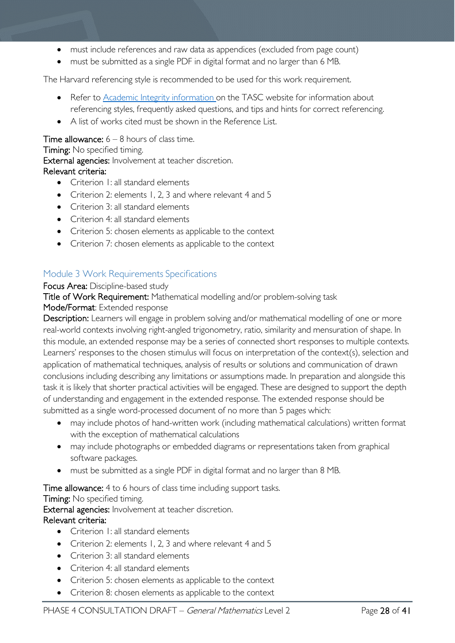- must include references and raw data as appendices (excluded from page count)
- must be submitted as a single PDF in digital format and no larger than 6 MB.

The Harvard referencing style is recommended to be used for this work requirement.

- Refer to [Academic Integrity information o](https://www.tasc.tas.gov.au/students/academic-integrity/?highlight=academic%20integrity)n the TASC website for information about referencing styles, frequently asked questions, and tips and hints for correct referencing.
- A list of works cited must be shown in the Reference List.

#### **Time allowance:**  $6 - 8$  hours of class time.

Timing: No specified timing.

External agencies: Involvement at teacher discretion.

#### Relevant criteria:

- Criterion 1: all standard elements
- Criterion 2: elements 1, 2, 3 and where relevant 4 and 5
- Criterion 3: all standard elements
- Criterion 4: all standard elements
- Criterion 5: chosen elements as applicable to the context
- Criterion 7: chosen elements as applicable to the context

#### <span id="page-27-0"></span>Module 3 Work Requirements Specifications

#### Focus Area: Discipline-based study

Title of Work Requirement: Mathematical modelling and/or problem-solving task

#### Mode/Format: Extended response

Description: Learners will engage in problem solving and/or mathematical modelling of one or more real-world contexts involving right-angled trigonometry, ratio, similarity and mensuration of shape. In this module, an extended response may be a series of connected short responses to multiple contexts. Learners' responses to the chosen stimulus will focus on interpretation of the context(s), selection and application of mathematical techniques, analysis of results or solutions and communication of drawn conclusions including describing any limitations or assumptions made. In preparation and alongside this task it is likely that shorter practical activities will be engaged. These are designed to support the depth of understanding and engagement in the extended response. The extended response should be submitted as a single word-processed document of no more than 5 pages which:

- may include photos of hand-written work (including mathematical calculations) written format with the exception of mathematical calculations
- may include photographs or embedded diagrams or representations taken from graphical software packages.
- must be submitted as a single PDF in digital format and no larger than 8 MB.

Time allowance: 4 to 6 hours of class time including support tasks.

Timing: No specified timing.

External agencies: Involvement at teacher discretion.

#### Relevant criteria:

- Criterion 1: all standard elements
- Criterion 2: elements 1, 2, 3 and where relevant 4 and 5
- Criterion 3: all standard elements
- Criterion 4: all standard elements
- Criterion 5: chosen elements as applicable to the context
- Criterion 8: chosen elements as applicable to the context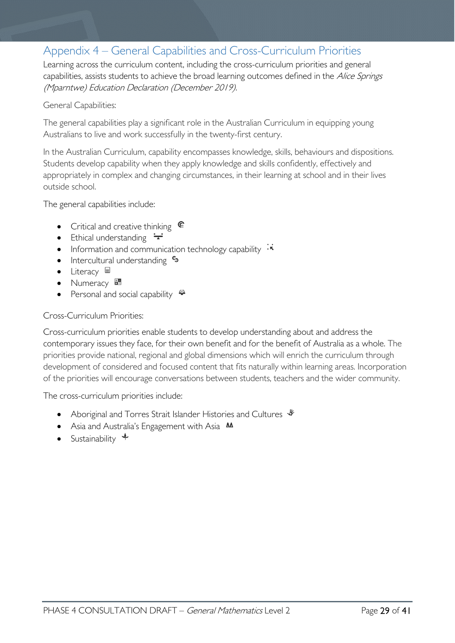### <span id="page-28-0"></span>Appendix 4 – General Capabilities and Cross-Curriculum Priorities

Learning across the curriculum content, including the cross-curriculum priorities and general capabilities, assists students to achieve the broad learning outcomes defined in the Alice Springs (Mparntwe) Education Declaration (December 2019).

#### General Capabilities:

The general capabilities play a significant role in the Australian Curriculum in equipping young Australians to live and work successfully in the twenty-first century.

In the Australian Curriculum, capability encompasses knowledge, skills, behaviours and dispositions. Students develop capability when they apply knowledge and skills confidently, effectively and appropriately in complex and changing circumstances, in their learning at school and in their lives outside school.

The general capabilities include:

- Critical and creative thinking  $\mathbb{C}$
- Ethical understanding  $\div$
- Information and communication technology capability  $\cdot \star$
- Intercultural understanding •
- Literacy  $\blacksquare$
- Numeracy
- Personal and social capability  $\ddot{\ddot{\bullet}}$

#### Cross-Curriculum Priorities:

Cross-curriculum priorities enable students to develop understanding about and address the contemporary issues they face, for their own benefit and for the benefit of Australia as a whole. The priorities provide national, regional and global dimensions which will enrich the curriculum through development of considered and focused content that fits naturally within learning areas. Incorporation of the priorities will encourage conversations between students, teachers and the wider community.

The cross-curriculum priorities include:

- Aboriginal and Torres Strait Islander Histories and Cultures  $\mathcal$
- Asia and Australia's Engagement with Asia **AA**
- Sustainability  $\triangleleft$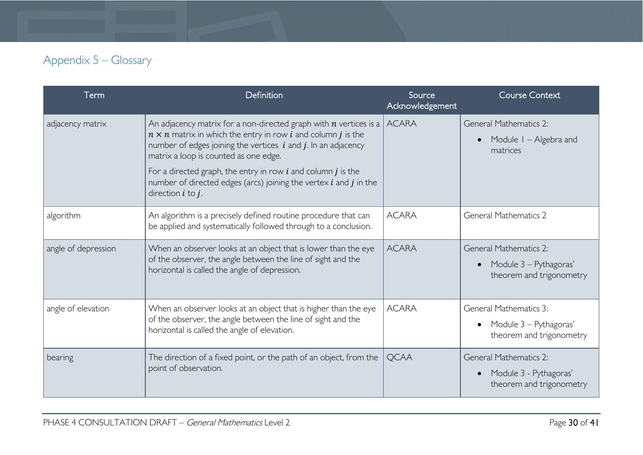## Appendix 5 – Glossary

<span id="page-29-0"></span>

| Term                | Definition                                                                                                                                                                                                                                                                                                                                                                                                                                             | Source<br>Acknowledgement | Course Context                                                                                   |
|---------------------|--------------------------------------------------------------------------------------------------------------------------------------------------------------------------------------------------------------------------------------------------------------------------------------------------------------------------------------------------------------------------------------------------------------------------------------------------------|---------------------------|--------------------------------------------------------------------------------------------------|
| adjacency matrix    | An adjacency matrix for a non-directed graph with $n$ vertices is a $\vert$<br>$n \times n$ matrix in which the entry in row <i>i</i> and column <i>j</i> is the<br>number of edges joining the vertices $i$ and $j$ . In an adjacency<br>matrix a loop is counted as one edge.<br>For a directed graph, the entry in row $i$ and column $j$ is the<br>number of directed edges (arcs) joining the vertex $i$ and $j$ in the<br>direction $i$ to $j$ . | <b>ACARA</b>              | General Mathematics 2:<br>Module I - Algebra and<br>$\bullet$<br>matrices                        |
| algorithm           | An algorithm is a precisely defined routine procedure that can<br>be applied and systematically followed through to a conclusion.                                                                                                                                                                                                                                                                                                                      | <b>ACARA</b>              | <b>General Mathematics 2</b>                                                                     |
| angle of depression | When an observer looks at an object that is lower than the eye<br>of the observer, the angle between the line of sight and the<br>horizontal is called the angle of depression.                                                                                                                                                                                                                                                                        | <b>ACARA</b>              | General Mathematics 2:<br>Module 3 – Pythagoras'<br>$\bullet$<br>theorem and trigonometry        |
| angle of elevation  | When an observer looks at an object that is higher than the eye<br>of the observer, the angle between the line of sight and the<br>horizontal is called the angle of elevation.                                                                                                                                                                                                                                                                        | <b>ACARA</b>              | <b>General Mathematics 3:</b><br>Module 3 – Pythagoras'<br>$\bullet$<br>theorem and trigonometry |
| bearing             | The direction of a fixed point, or the path of an object, from the<br>point of observation.                                                                                                                                                                                                                                                                                                                                                            | <b>OCAA</b>               | <b>General Mathematics 2:</b><br>Module 3 - Pythagoras'<br>$\bullet$<br>theorem and trigonometry |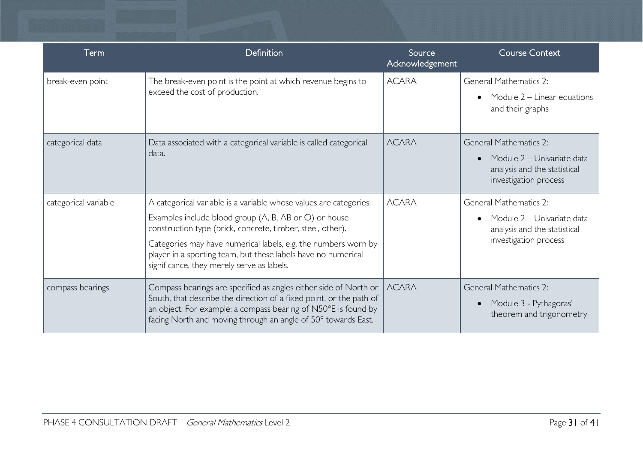| Term                 | Definition                                                                                                                                                                                                                                                                                                                                                                | Source<br>Acknowledgement | <b>Course Context</b>                                                                                         |
|----------------------|---------------------------------------------------------------------------------------------------------------------------------------------------------------------------------------------------------------------------------------------------------------------------------------------------------------------------------------------------------------------------|---------------------------|---------------------------------------------------------------------------------------------------------------|
| break-even point     | The break-even point is the point at which revenue begins to<br>exceed the cost of production.                                                                                                                                                                                                                                                                            | <b>ACARA</b>              | General Mathematics 2:<br>Module $2$ – Linear equations<br>and their graphs                                   |
| categorical data     | Data associated with a categorical variable is called categorical<br>data.                                                                                                                                                                                                                                                                                                | <b>ACARA</b>              | General Mathematics 2:<br>Module 2 – Univariate data<br>analysis and the statistical<br>investigation process |
| categorical variable | A categorical variable is a variable whose values are categories.<br>Examples include blood group (A, B, AB or O) or house<br>construction type (brick, concrete, timber, steel, other).<br>Categories may have numerical labels, e.g. the numbers worn by<br>player in a sporting team, but these labels have no numerical<br>significance, they merely serve as labels. | <b>ACARA</b>              | General Mathematics 2:<br>Module 2 – Univariate data<br>analysis and the statistical<br>investigation process |
| compass bearings     | Compass bearings are specified as angles either side of North or<br>South, that describe the direction of a fixed point, or the path of<br>an object. For example: a compass bearing of N50°E is found by<br>facing North and moving through an angle of 50° towards East.                                                                                                | <b>ACARA</b>              | <b>General Mathematics 2:</b><br>Module 3 - Pythagoras'<br>theorem and trigonometry                           |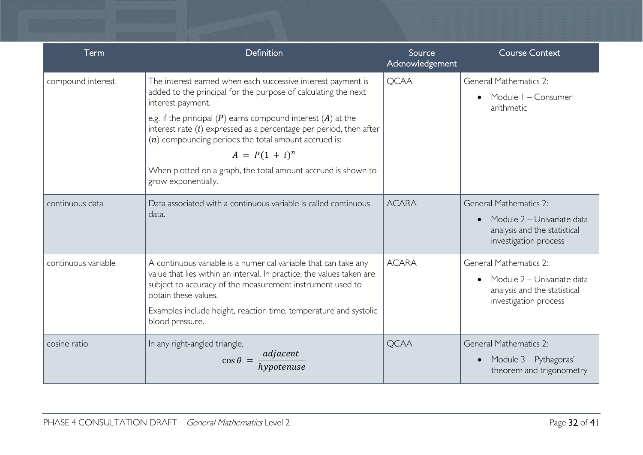| Term                | Definition                                                                                                                                                                                                                                                                                                                                                                                                                                                            | Source<br>Acknowledgement | <b>Course Context</b>                                                                                                |
|---------------------|-----------------------------------------------------------------------------------------------------------------------------------------------------------------------------------------------------------------------------------------------------------------------------------------------------------------------------------------------------------------------------------------------------------------------------------------------------------------------|---------------------------|----------------------------------------------------------------------------------------------------------------------|
| compound interest   | The interest earned when each successive interest payment is<br>added to the principal for the purpose of calculating the next<br>interest payment.<br>e.g. if the principal $(P)$ earns compound interest $(A)$ at the<br>interest rate $(i)$ expressed as a percentage per period, then after<br>$(n)$ compounding periods the total amount accrued is:<br>$A = P(1 + i)^n$<br>When plotted on a graph, the total amount accrued is shown to<br>grow exponentially. | <b>QCAA</b>               | <b>General Mathematics 2:</b><br>Module I - Consumer<br>arithmetic                                                   |
| continuous data     | Data associated with a continuous variable is called continuous<br>data.                                                                                                                                                                                                                                                                                                                                                                                              | <b>ACARA</b>              | <b>General Mathematics 2:</b><br>Module 2 - Univariate data<br>analysis and the statistical<br>investigation process |
| continuous variable | A continuous variable is a numerical variable that can take any<br>value that lies within an interval. In practice, the values taken are<br>subject to accuracy of the measurement instrument used to<br>obtain these values.<br>Examples include height, reaction time, temperature and systolic<br>blood pressure.                                                                                                                                                  | <b>ACARA</b>              | General Mathematics 2:<br>Module 2 - Univariate data<br>analysis and the statistical<br>investigation process        |
| cosine ratio        | In any right-angled triangle,<br>$\cos \theta = \frac{adjacent}{hypotenuse}$                                                                                                                                                                                                                                                                                                                                                                                          | <b>QCAA</b>               | <b>General Mathematics 2:</b><br>Module 3 - Pythagoras'<br>$\bullet$<br>theorem and trigonometry                     |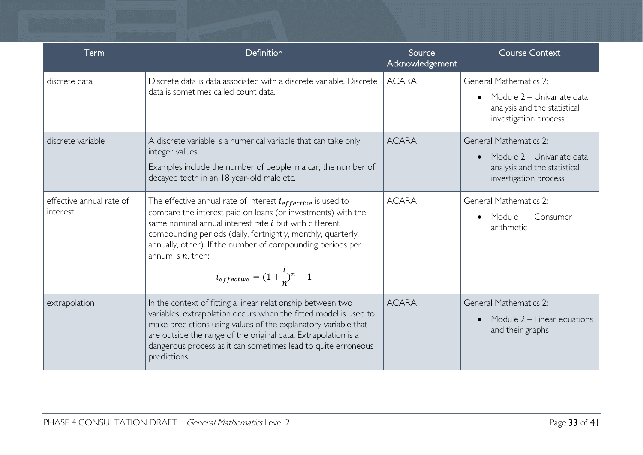| Term                                 | Definition                                                                                                                                                                                                                                                                                                                                                                                     | Source<br>Acknowledgement | <b>Course Context</b>                                                                                                |
|--------------------------------------|------------------------------------------------------------------------------------------------------------------------------------------------------------------------------------------------------------------------------------------------------------------------------------------------------------------------------------------------------------------------------------------------|---------------------------|----------------------------------------------------------------------------------------------------------------------|
| discrete data                        | Discrete data is data associated with a discrete variable. Discrete<br>data is sometimes called count data.                                                                                                                                                                                                                                                                                    | <b>ACARA</b>              | General Mathematics 2:<br>Module 2 – Univariate data<br>analysis and the statistical<br>investigation process        |
| discrete variable                    | A discrete variable is a numerical variable that can take only<br>integer values.<br>Examples include the number of people in a car, the number of<br>decayed teeth in an 18 year-old male etc.                                                                                                                                                                                                | <b>ACARA</b>              | <b>General Mathematics 2:</b><br>Module 2 – Univariate data<br>analysis and the statistical<br>investigation process |
| effective annual rate of<br>interest | The effective annual rate of interest $i_{effective}$ is used to<br>compare the interest paid on loans (or investments) with the<br>same nominal annual interest rate <i>i</i> but with different<br>compounding periods (daily, fortnightly, monthly, quarterly,<br>annually, other). If the number of compounding periods per<br>annum is $n$ , then:<br>$i_{effective}=(1+\frac{l}{n})^n-1$ | <b>ACARA</b>              | <b>General Mathematics 2:</b><br>Module I - Consumer<br>arithmetic                                                   |
| extrapolation                        | In the context of fitting a linear relationship between two<br>variables, extrapolation occurs when the fitted model is used to<br>make predictions using values of the explanatory variable that<br>are outside the range of the original data. Extrapolation is a<br>dangerous process as it can sometimes lead to quite erroneous<br>predictions.                                           | <b>ACARA</b>              | <b>General Mathematics 2:</b><br>Module $2$ – Linear equations<br>and their graphs                                   |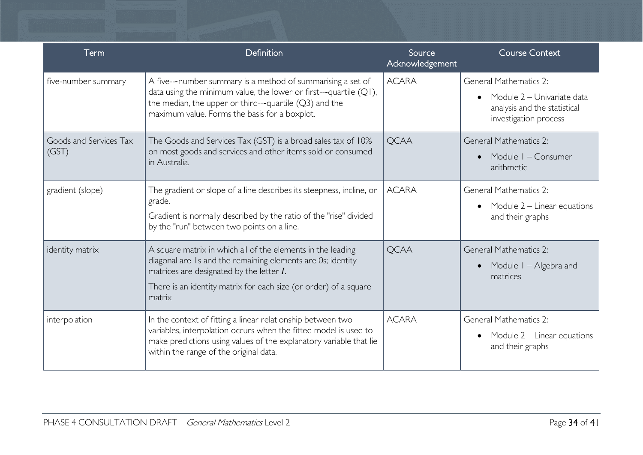| Term                            | Definition                                                                                                                                                                                                                                              | Source<br>Acknowledgement | <b>Course Context</b>                                                                                                |
|---------------------------------|---------------------------------------------------------------------------------------------------------------------------------------------------------------------------------------------------------------------------------------------------------|---------------------------|----------------------------------------------------------------------------------------------------------------------|
| five-number summary             | A five---number summary is a method of summarising a set of<br>data using the minimum value, the lower or first---quartile (Q1),<br>the median, the upper or third---quartile $(Q3)$ and the<br>maximum value. Forms the basis for a boxplot.           | <b>ACARA</b>              | <b>General Mathematics 2:</b><br>Module 2 – Univariate data<br>analysis and the statistical<br>investigation process |
| Goods and Services Tax<br>(GST) | The Goods and Services Tax (GST) is a broad sales tax of 10%<br>on most goods and services and other items sold or consumed<br>in Australia.                                                                                                            | <b>QCAA</b>               | <b>General Mathematics 2:</b><br>Module I - Consumer<br>arithmetic                                                   |
| gradient (slope)                | The gradient or slope of a line describes its steepness, incline, or<br>grade.<br>Gradient is normally described by the ratio of the "rise" divided<br>by the "run" between two points on a line.                                                       | <b>ACARA</b>              | <b>General Mathematics 2:</b><br>Module $2$ – Linear equations<br>and their graphs                                   |
| identity matrix                 | A square matrix in which all of the elements in the leading<br>diagonal are Is and the remaining elements are Os; identity<br>matrices are designated by the letter $I$ .<br>There is an identity matrix for each size (or order) of a square<br>matrix | <b>QCAA</b>               | <b>General Mathematics 2:</b><br>Module I – Algebra and<br>matrices                                                  |
| interpolation                   | In the context of fitting a linear relationship between two<br>variables, interpolation occurs when the fitted model is used to<br>make predictions using values of the explanatory variable that lie<br>within the range of the original data.         | <b>ACARA</b>              | <b>General Mathematics 2:</b><br>Module $2$ – Linear equations<br>and their graphs                                   |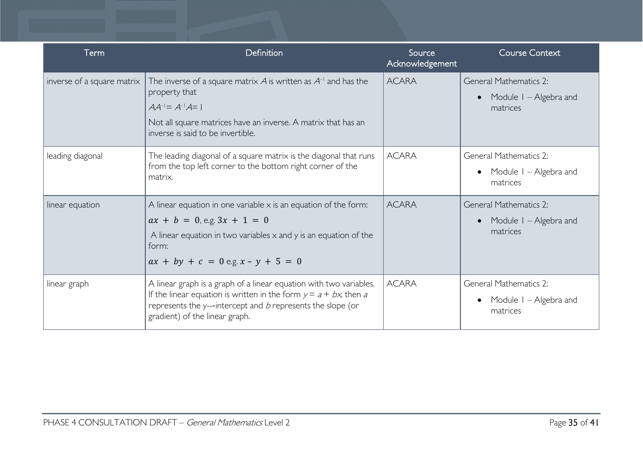| Term                       | Definition                                                                                                                                                                                                                                      | Source<br>Acknowledgement | <b>Course Context</b>                                               |
|----------------------------|-------------------------------------------------------------------------------------------------------------------------------------------------------------------------------------------------------------------------------------------------|---------------------------|---------------------------------------------------------------------|
| inverse of a square matrix | The inverse of a square matrix $A$ is written as $A^{-1}$ and has the<br>property that<br>$AA^{-1} = A^{-1}A = 1$<br>Not all square matrices have an inverse. A matrix that has an<br>inverse is said to be invertible.                         | <b>ACARA</b>              | <b>General Mathematics 2:</b><br>Module I – Algebra and<br>matrices |
| leading diagonal           | The leading diagonal of a square matrix is the diagonal that runs<br>from the top left corner to the bottom right corner of the<br>matrix.                                                                                                      | <b>ACARA</b>              | <b>General Mathematics 2:</b><br>Module I – Algebra and<br>matrices |
| linear equation            | A linear equation in one variable $\times$ is an equation of the form:<br>$ax + b = 0$ , e.g. $3x + 1 = 0$<br>A linear equation in two variables $\times$ and $\times$ is an equation of the<br>form:<br>$ax + by + c = 0$ e.g. $x - y + 5 = 0$ | <b>ACARA</b>              | <b>General Mathematics 2:</b><br>Module I – Algebra and<br>matrices |
| linear graph               | A linear graph is a graph of a linear equation with two variables.<br>If the linear equation is written in the form $y = a + bx$ , then a<br>represents the y---intercept and b represents the slope (or<br>gradient) of the linear graph.      | <b>ACARA</b>              | General Mathematics 2:<br>Module I – Algebra and<br>matrices        |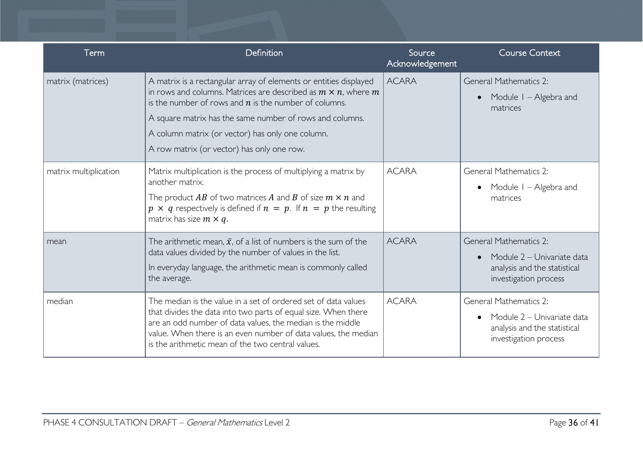| Term                  | Definition                                                                                                                                                                                                                                                                                                                                                            | Source<br>Acknowledgement | <b>Course Context</b>                                                                                                |
|-----------------------|-----------------------------------------------------------------------------------------------------------------------------------------------------------------------------------------------------------------------------------------------------------------------------------------------------------------------------------------------------------------------|---------------------------|----------------------------------------------------------------------------------------------------------------------|
| matrix (matrices)     | A matrix is a rectangular array of elements or entities displayed<br>in rows and columns. Matrices are described as $m \times n$ , where $m$<br>is the number of rows and $n$ is the number of columns.<br>A square matrix has the same number of rows and columns.<br>A column matrix (or vector) has only one column.<br>A row matrix (or vector) has only one row. | <b>ACARA</b>              | <b>General Mathematics 2:</b><br>Module I – Algebra and<br>matrices                                                  |
| matrix multiplication | Matrix multiplication is the process of multiplying a matrix by<br>another matrix.<br>The product AB of two matrices A and B of size $m \times n$ and<br>$p \times q$ respectively is defined if $n = p$ . If $n = p$ the resulting<br>matrix has size $m \times q$ .                                                                                                 | <b>ACARA</b>              | <b>General Mathematics 2:</b><br>Module I – Algebra and<br>matrices                                                  |
| mean                  | The arithmetic mean, $\bar{x}$ , of a list of numbers is the sum of the<br>data values divided by the number of values in the list.<br>In everyday language, the arithmetic mean is commonly called<br>the average.                                                                                                                                                   | <b>ACARA</b>              | <b>General Mathematics 2:</b><br>Module 2 – Univariate data<br>analysis and the statistical<br>investigation process |
| median                | The median is the value in a set of ordered set of data values<br>that divides the data into two parts of equal size. When there<br>are an odd number of data values, the median is the middle<br>value. When there is an even number of data values, the median<br>is the arithmetic mean of the two central values.                                                 | <b>ACARA</b>              | <b>General Mathematics 2:</b><br>Module 2 – Univariate data<br>analysis and the statistical<br>investigation process |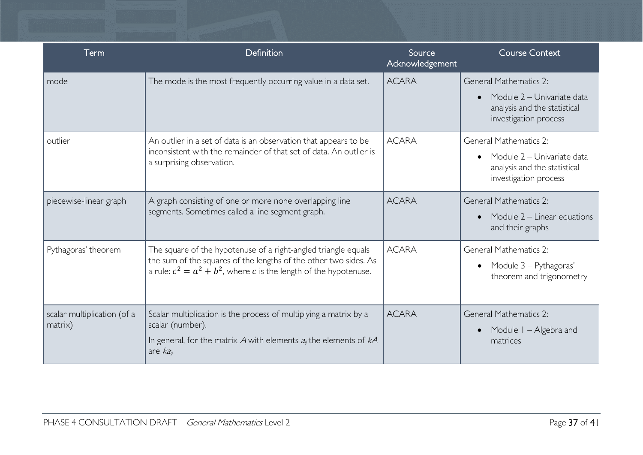| Term                                   | Definition                                                                                                                                                                                                 | Source<br>Acknowledgement | <b>Course Context</b>                                                                                                |
|----------------------------------------|------------------------------------------------------------------------------------------------------------------------------------------------------------------------------------------------------------|---------------------------|----------------------------------------------------------------------------------------------------------------------|
| mode                                   | The mode is the most frequently occurring value in a data set.                                                                                                                                             | <b>ACARA</b>              | <b>General Mathematics 2:</b><br>Module 2 - Univariate data<br>analysis and the statistical<br>investigation process |
| outlier                                | An outlier in a set of data is an observation that appears to be<br>inconsistent with the remainder of that set of data. An outlier is<br>a surprising observation.                                        | <b>ACARA</b>              | <b>General Mathematics 2:</b><br>Module 2 - Univariate data<br>analysis and the statistical<br>investigation process |
| piecewise-linear graph                 | A graph consisting of one or more none overlapping line<br>segments. Sometimes called a line segment graph.                                                                                                | <b>ACARA</b>              | <b>General Mathematics 2:</b><br>Module $2$ – Linear equations<br>and their graphs                                   |
| Pythagoras' theorem                    | The square of the hypotenuse of a right-angled triangle equals<br>the sum of the squares of the lengths of the other two sides. As<br>a rule: $c^2 = a^2 + b^2$ , where c is the length of the hypotenuse. | <b>ACARA</b>              | <b>General Mathematics 2:</b><br>Module 3 – Pythagoras'<br>theorem and trigonometry                                  |
| scalar multiplication (of a<br>matrix) | Scalar multiplication is the process of multiplying a matrix by a<br>scalar (number).<br>In general, for the matrix A with elements $a_{ij}$ the elements of $kA$<br>are $ka_{ii}$                         | <b>ACARA</b>              | <b>General Mathematics 2:</b><br>Module I – Algebra and<br>matrices                                                  |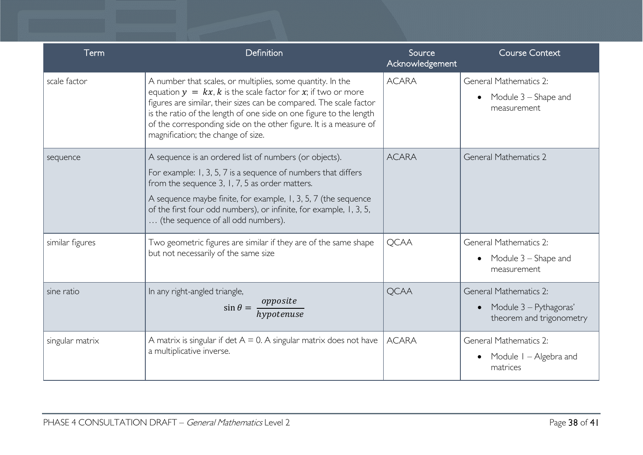| Term            | Definition                                                                                                                                                                                                                                                                                                                                                                           | Source<br>Acknowledgement | <b>Course Context</b>                                                               |
|-----------------|--------------------------------------------------------------------------------------------------------------------------------------------------------------------------------------------------------------------------------------------------------------------------------------------------------------------------------------------------------------------------------------|---------------------------|-------------------------------------------------------------------------------------|
| scale factor    | A number that scales, or multiplies, some quantity. In the<br>equation $y = kx$ , k is the scale factor for x; if two or more<br>figures are similar, their sizes can be compared. The scale factor<br>is the ratio of the length of one side on one figure to the length<br>of the corresponding side on the other figure. It is a measure of<br>magnification; the change of size. | <b>ACARA</b>              | General Mathematics 2:<br>Module 3 – Shape and<br>$\bullet$<br>measurement          |
| sequence        | A sequence is an ordered list of numbers (or objects).<br>For example: 1, 3, 5, 7 is a sequence of numbers that differs<br>from the sequence 3, 1, 7, 5 as order matters.<br>A sequence maybe finite, for example, 1, 3, 5, 7 (the sequence<br>of the first four odd numbers), or infinite, for example, 1, 3, 5,<br>(the sequence of all odd numbers).                              | <b>ACARA</b>              | <b>General Mathematics 2</b>                                                        |
| similar figures | Two geometric figures are similar if they are of the same shape<br>but not necessarily of the same size                                                                                                                                                                                                                                                                              | <b>QCAA</b>               | General Mathematics 2:<br>Module 3 – Shape and<br>$\bullet$<br>measurement          |
| sine ratio      | In any right-angled triangle,<br>$\sin \theta = \frac{opposite}{hypotenuse}$                                                                                                                                                                                                                                                                                                         | <b>QCAA</b>               | <b>General Mathematics 2:</b><br>Module 3 - Pythagoras'<br>theorem and trigonometry |
| singular matrix | A matrix is singular if det $A = 0$ . A singular matrix does not have<br>a multiplicative inverse.                                                                                                                                                                                                                                                                                   | <b>ACARA</b>              | <b>General Mathematics 2:</b><br>Module 1 – Algebra and<br>matrices                 |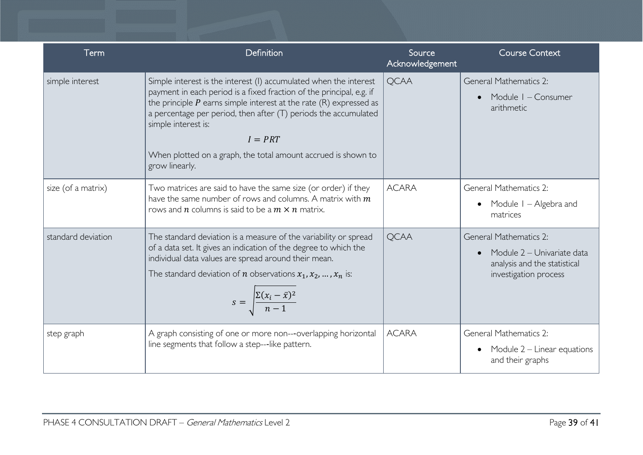| Term               | Definition                                                                                                                                                                                                                                                                                                                                                                                                    | Source<br>Acknowledgement | <b>Course Context</b>                                                                                                |
|--------------------|---------------------------------------------------------------------------------------------------------------------------------------------------------------------------------------------------------------------------------------------------------------------------------------------------------------------------------------------------------------------------------------------------------------|---------------------------|----------------------------------------------------------------------------------------------------------------------|
| simple interest    | Simple interest is the interest (I) accumulated when the interest<br>payment in each period is a fixed fraction of the principal, e.g. if<br>the principle $P$ earns simple interest at the rate $(R)$ expressed as<br>a percentage per period, then after (T) periods the accumulated<br>simple interest is:<br>$I = PRT$<br>When plotted on a graph, the total amount accrued is shown to<br>grow linearly. | <b>QCAA</b>               | <b>General Mathematics 2:</b><br>Module I - Consumer<br>arithmetic                                                   |
| size (of a matrix) | Two matrices are said to have the same size (or order) if they<br>have the same number of rows and columns. A matrix with $m$<br>rows and $n$ columns is said to be a $m \times n$ matrix.                                                                                                                                                                                                                    | <b>ACARA</b>              | <b>General Mathematics 2:</b><br>Module I – Algebra and<br>matrices                                                  |
| standard deviation | The standard deviation is a measure of the variability or spread<br>of a data set. It gives an indication of the degree to which the<br>individual data values are spread around their mean.<br>The standard deviation of <i>n</i> observations $x_1, x_2, , x_n$ is:<br>$s = \sqrt{\frac{\Sigma(x_i - \bar{x})^2}{n-1}}$                                                                                     | <b>QCAA</b>               | <b>General Mathematics 2:</b><br>Module 2 - Univariate data<br>analysis and the statistical<br>investigation process |
| step graph         | A graph consisting of one or more non---overlapping horizontal<br>line segments that follow a step---like pattern.                                                                                                                                                                                                                                                                                            | <b>ACARA</b>              | <b>General Mathematics 2:</b><br>Module $2$ – Linear equations<br>and their graphs                                   |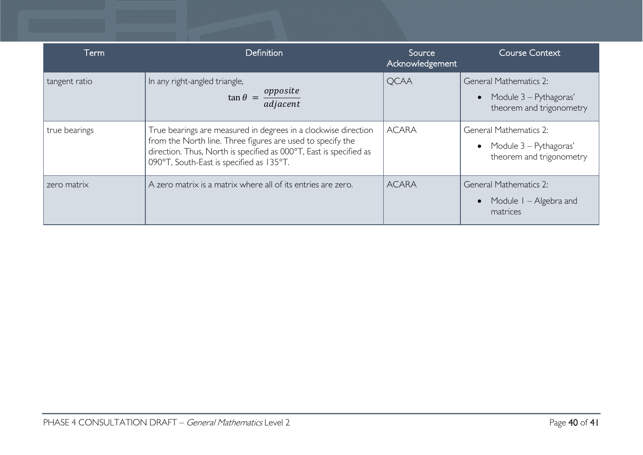| Term          | <b>Definition</b>                                                                                                                                                                                                                              | Source<br>Acknowledgement | <b>Course Context</b>                                                                            |
|---------------|------------------------------------------------------------------------------------------------------------------------------------------------------------------------------------------------------------------------------------------------|---------------------------|--------------------------------------------------------------------------------------------------|
| tangent ratio | In any right-angled triangle,<br>$\tan \theta = \frac{opposite}{adjacent}$                                                                                                                                                                     | <b>QCAA</b>               | <b>General Mathematics 2:</b><br>Module 3 – Pythagoras'<br>$\bullet$<br>theorem and trigonometry |
| true bearings | True bearings are measured in degrees in a clockwise direction<br>from the North line. Three figures are used to specify the<br>direction. Thus, North is specified as 000°T, East is specified as<br>090°T, South-East is specified as 135°T. | <b>ACARA</b>              | <b>General Mathematics 2:</b><br>• Module $3 - Pythagoras'$<br>theorem and trigonometry          |
| zero matrix   | A zero matrix is a matrix where all of its entries are zero.                                                                                                                                                                                   | <b>ACARA</b>              | <b>General Mathematics 2:</b><br>Module $I -$ Algebra and<br>matrices                            |